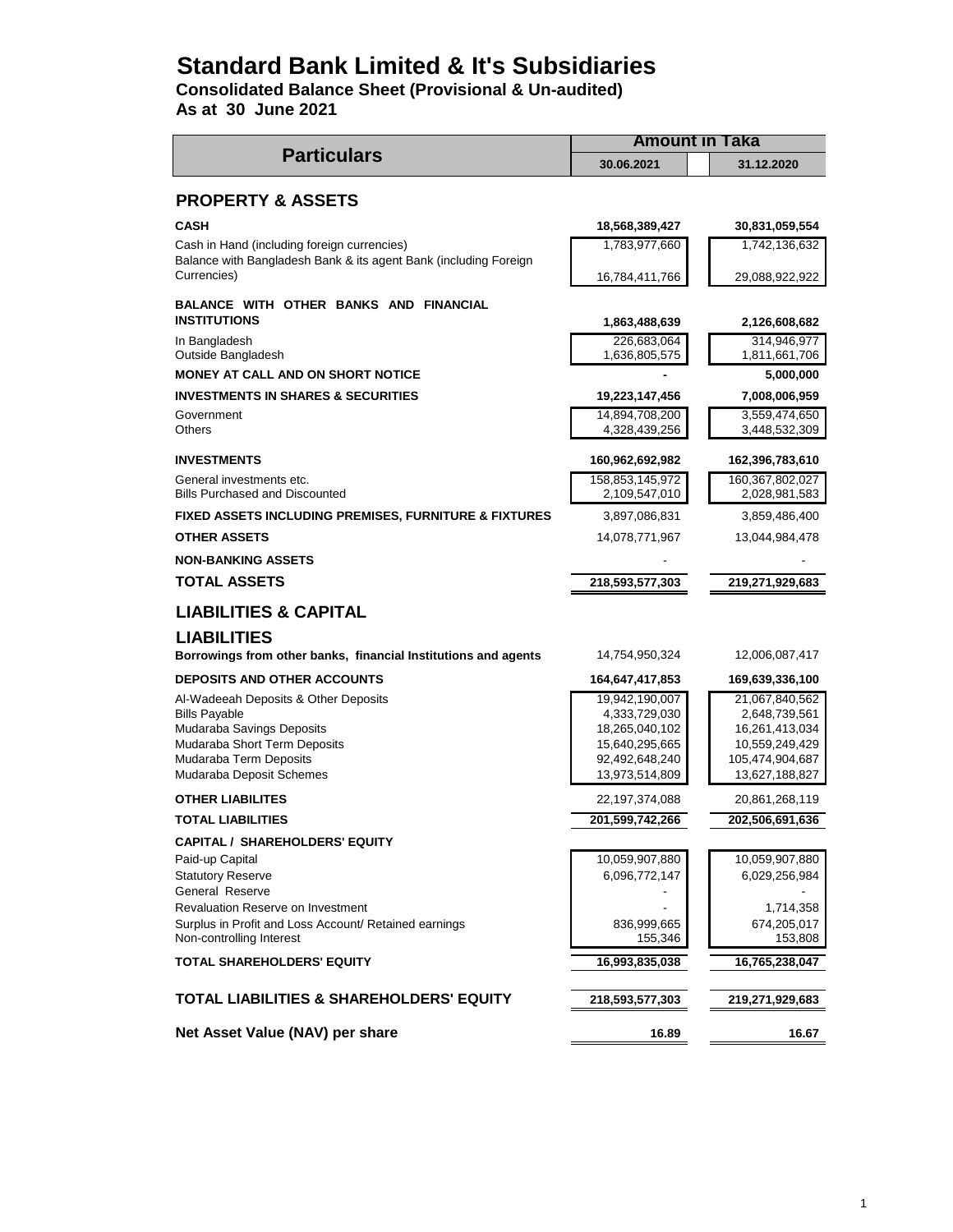# **Standard Bank Limited & It's Subsidiaries**

**Consolidated Balance Sheet (Provisional & Un-audited)**

**As at 30 June 2021**

|                                                                                         | <b>Amount in Taka</b>            |                                   |  |  |
|-----------------------------------------------------------------------------------------|----------------------------------|-----------------------------------|--|--|
| <b>Particulars</b>                                                                      | 30.06.2021                       | 31.12.2020                        |  |  |
| <b>PROPERTY &amp; ASSETS</b>                                                            |                                  |                                   |  |  |
| <b>CASH</b>                                                                             | 18,568,389,427                   | 30,831,059,554                    |  |  |
| Cash in Hand (including foreign currencies)                                             | 1,783,977,660                    | 1,742,136,632                     |  |  |
| Balance with Bangladesh Bank & its agent Bank (including Foreign<br>Currencies)         | 16,784,411,766                   | 29,088,922,922                    |  |  |
| BALANCE WITH OTHER BANKS AND FINANCIAL<br><b>INSTITUTIONS</b>                           | 1,863,488,639                    | 2,126,608,682                     |  |  |
| In Bangladesh                                                                           | 226,683,064                      | 314,946,977                       |  |  |
| Outside Bangladesh                                                                      | 1,636,805,575                    | 1,811,661,706                     |  |  |
| MONEY AT CALL AND ON SHORT NOTICE                                                       |                                  | 5,000,000                         |  |  |
| <b>INVESTMENTS IN SHARES &amp; SECURITIES</b>                                           | 19,223,147,456                   | 7,008,006,959                     |  |  |
| Government                                                                              | 14,894,708,200                   | 3,559,474,650                     |  |  |
| Others                                                                                  | 4,328,439,256                    | 3,448,532,309                     |  |  |
| <b>INVESTMENTS</b>                                                                      | 160,962,692,982                  | 162,396,783,610                   |  |  |
| General investments etc.<br><b>Bills Purchased and Discounted</b>                       | 158,853,145,972<br>2,109,547,010 | 160,367,802,027                   |  |  |
|                                                                                         |                                  | 2,028,981,583                     |  |  |
| <b>FIXED ASSETS INCLUDING PREMISES, FURNITURE &amp; FIXTURES</b><br><b>OTHER ASSETS</b> | 3,897,086,831                    | 3,859,486,400                     |  |  |
|                                                                                         | 14,078,771,967                   | 13,044,984,478                    |  |  |
| <b>NON-BANKING ASSETS</b>                                                               |                                  |                                   |  |  |
| <b>TOTAL ASSETS</b>                                                                     | 218,593,577,303                  | 219,271,929,683                   |  |  |
| <b>LIABILITIES &amp; CAPITAL</b>                                                        |                                  |                                   |  |  |
| <b>LIABILITIES</b>                                                                      |                                  |                                   |  |  |
| Borrowings from other banks, financial Institutions and agents                          | 14,754,950,324                   | 12,006,087,417                    |  |  |
| <b>DEPOSITS AND OTHER ACCOUNTS</b>                                                      | 164,647,417,853                  | 169,639,336,100                   |  |  |
| Al-Wadeeah Deposits & Other Deposits                                                    | 19,942,190,007                   | 21,067,840,562                    |  |  |
| <b>Bills Payable</b>                                                                    | 4,333,729,030                    | 2,648,739,561                     |  |  |
| Mudaraba Savings Deposits                                                               | 18,265,040,102                   | 16,261,413,034                    |  |  |
| Mudaraba Short Term Deposits<br>Mudaraba Term Deposits                                  | 15,640,295,665<br>92,492,648,240 | 10,559,249,429<br>105,474,904,687 |  |  |
| Mudaraba Deposit Schemes                                                                | 13,973,514,809                   | 13,627,188,827                    |  |  |
| <b>OTHER LIABILITES</b>                                                                 | 22,197,374,088                   | 20,861,268,119                    |  |  |
| <b>TOTAL LIABILITIES</b>                                                                | 201,599,742,266                  | 202,506,691,636                   |  |  |
| <b>CAPITAL / SHAREHOLDERS' EQUITY</b>                                                   |                                  |                                   |  |  |
| Paid-up Capital                                                                         | 10,059,907,880                   | 10,059,907,880                    |  |  |
| <b>Statutory Reserve</b>                                                                | 6,096,772,147                    | 6,029,256,984                     |  |  |
| General Reserve                                                                         |                                  |                                   |  |  |
| Revaluation Reserve on Investment                                                       |                                  | 1,714,358                         |  |  |
| Surplus in Profit and Loss Account/ Retained earnings                                   | 836,999,665                      | 674,205,017                       |  |  |
| Non-controlling Interest                                                                | 155,346                          | 153,808                           |  |  |
| <b>TOTAL SHAREHOLDERS' EQUITY</b>                                                       | 16,993,835,038                   | 16,765,238,047                    |  |  |
|                                                                                         |                                  |                                   |  |  |
| <b>TOTAL LIABILITIES &amp; SHAREHOLDERS' EQUITY</b>                                     | 218,593,577,303                  | 219,271,929,683                   |  |  |
| Net Asset Value (NAV) per share                                                         | 16.89                            | 16.67                             |  |  |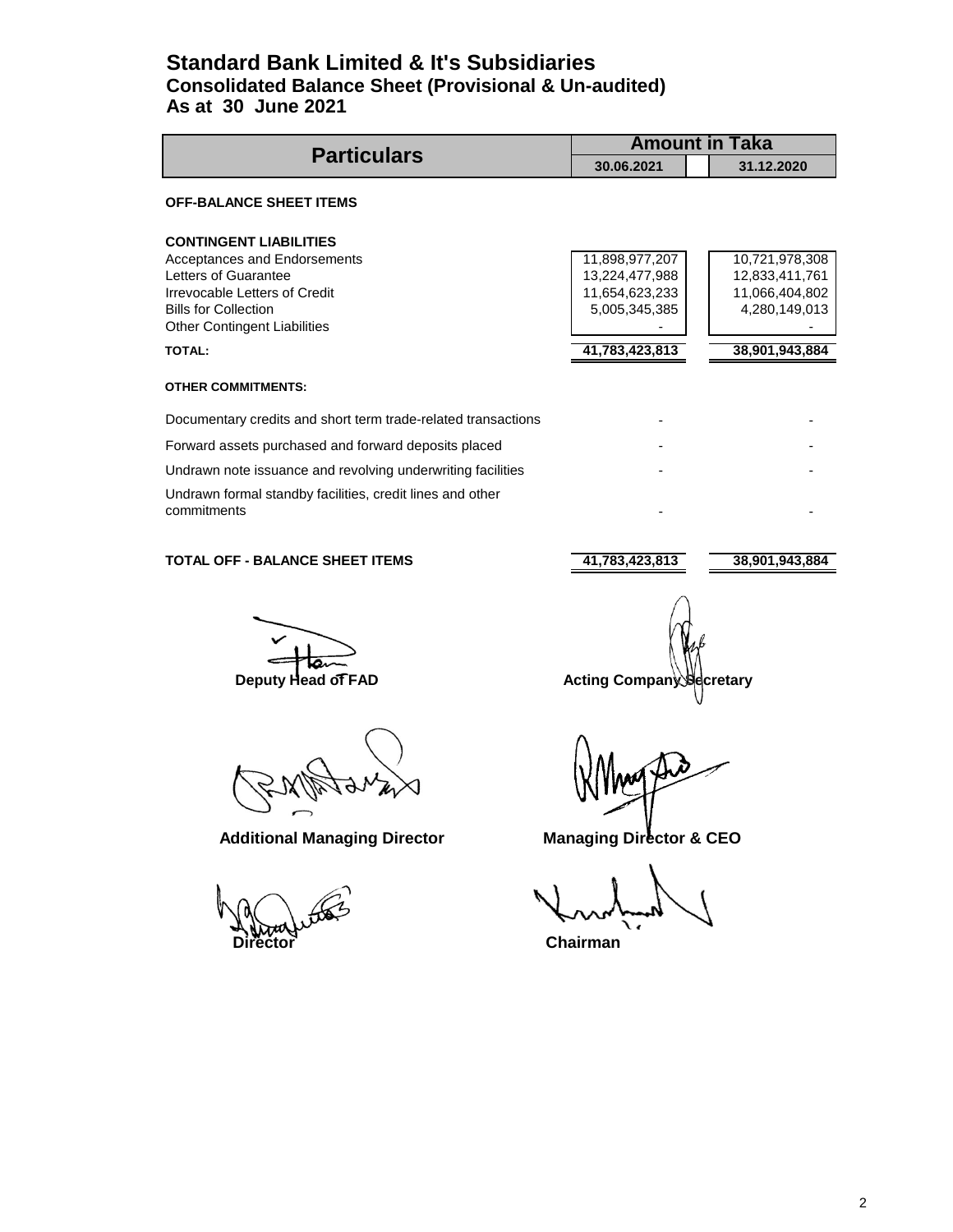### **Standard Bank Limited & It's Subsidiaries Consolidated Balance Sheet (Provisional & Un-audited) As at 30 June 2021**

| <b>Particulars</b>                                                                                                                                                                                            | <b>Amount in Taka</b>                                                                 |                                                                                       |
|---------------------------------------------------------------------------------------------------------------------------------------------------------------------------------------------------------------|---------------------------------------------------------------------------------------|---------------------------------------------------------------------------------------|
|                                                                                                                                                                                                               | 30.06.2021                                                                            | 31.12.2020                                                                            |
| <b>OFF-BALANCE SHEET ITEMS</b>                                                                                                                                                                                |                                                                                       |                                                                                       |
| <b>CONTINGENT LIABILITIES</b><br>Acceptances and Endorsements<br>Letters of Guarantee<br>Irrevocable Letters of Credit<br><b>Bills for Collection</b><br><b>Other Contingent Liabilities</b><br><b>TOTAL:</b> | 11,898,977,207<br>13,224,477,988<br>11,654,623,233<br>5,005,345,385<br>41,783,423,813 | 10,721,978,308<br>12,833,411,761<br>11,066,404,802<br>4,280,149,013<br>38,901,943,884 |
| <b>OTHER COMMITMENTS:</b>                                                                                                                                                                                     |                                                                                       |                                                                                       |
| Documentary credits and short term trade-related transactions                                                                                                                                                 |                                                                                       |                                                                                       |
| Forward assets purchased and forward deposits placed                                                                                                                                                          |                                                                                       |                                                                                       |
| Undrawn note issuance and revolving underwriting facilities                                                                                                                                                   |                                                                                       |                                                                                       |
| Undrawn formal standby facilities, credit lines and other<br>commitments                                                                                                                                      |                                                                                       |                                                                                       |

### **TOTAL OFF - BALANCE SHEET ITEMS** 41,783,423,813 38,901,943,884

**Director** Chairman

**Deputy Head of FAD** Acting Company Secretary

Additional Managing Director **Managing Director & CEO**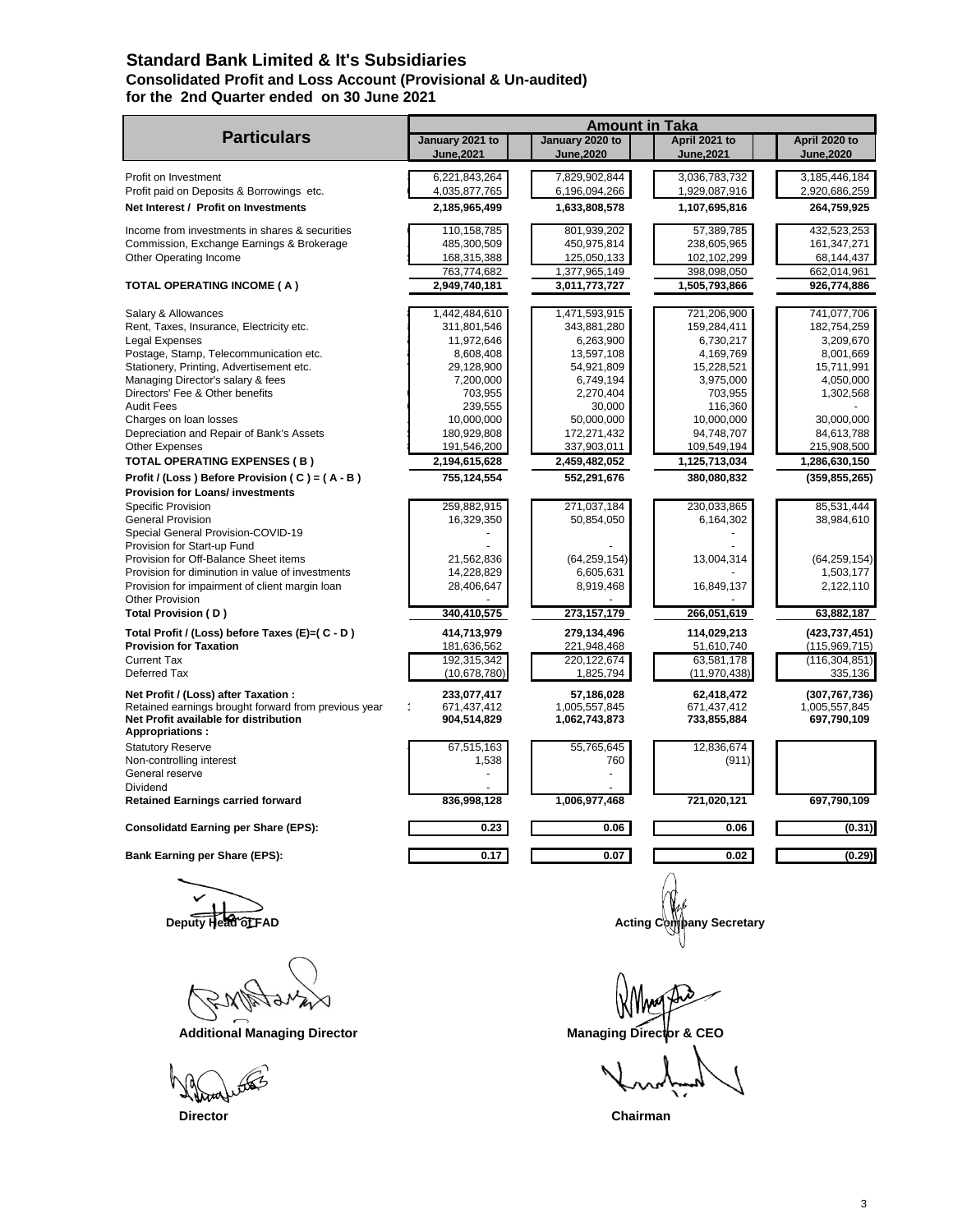### **Standard Bank Limited & It's Subsidiaries Consolidated Profit and Loss Account (Provisional & Un-audited) for the 2nd Quarter ended on 30 June 2021**

|                                                                                                                         | <b>Amount in Taka</b>         |                                |                             |                              |  |
|-------------------------------------------------------------------------------------------------------------------------|-------------------------------|--------------------------------|-----------------------------|------------------------------|--|
| <b>Particulars</b>                                                                                                      | January 2021 to<br>June, 2021 | January 2020 to<br>June, 2020  | April 2021 to<br>June, 2021 | April 2020 to<br>June, 2020  |  |
| Profit on Investment                                                                                                    | 6,221,843,264                 | 7,829,902,844                  | 3,036,783,732               | 3,185,446,184                |  |
| Profit paid on Deposits & Borrowings etc.                                                                               | 4,035,877,765                 | 6,196,094,266                  | 1,929,087,916               | 2,920,686,259                |  |
| Net Interest / Profit on Investments                                                                                    | 2,185,965,499                 | 1,633,808,578                  | 1,107,695,816               | 264,759,925                  |  |
| Income from investments in shares & securities                                                                          | 110,158,785                   | 801,939,202                    | 57,389,785                  | 432,523,253                  |  |
| Commission, Exchange Earnings & Brokerage                                                                               | 485,300,509                   | 450,975,814                    | 238,605,965                 | 161,347,271                  |  |
| Other Operating Income                                                                                                  | 168,315,388                   | 125,050,133                    | 102,102,299                 | 68,144,437                   |  |
|                                                                                                                         | 763,774,682                   | 1,377,965,149                  | 398,098,050                 | 662,014,961                  |  |
| <b>TOTAL OPERATING INCOME (A)</b>                                                                                       | 2,949,740,181                 | 3,011,773,727                  | 1,505,793,866               | 926,774,886                  |  |
| Salary & Allowances                                                                                                     | 1,442,484,610                 | 1,471,593,915                  | 721,206,900                 | 741,077,706                  |  |
| Rent, Taxes, Insurance, Electricity etc.                                                                                | 311,801,546                   | 343,881,280                    | 159,284,411                 | 182,754,259                  |  |
| <b>Legal Expenses</b>                                                                                                   | 11,972,646                    | 6,263,900                      | 6,730,217                   | 3,209,670                    |  |
| Postage, Stamp, Telecommunication etc.                                                                                  | 8,608,408                     | 13,597,108                     | 4,169,769                   | 8,001,669                    |  |
| Stationery, Printing, Advertisement etc.                                                                                | 29,128,900                    | 54,921,809                     | 15,228,521                  | 15,711,991                   |  |
| Managing Director's salary & fees                                                                                       | 7,200,000                     | 6,749,194                      | 3,975,000                   | 4,050,000                    |  |
| Directors' Fee & Other benefits                                                                                         | 703,955                       | 2,270,404                      | 703,955                     | 1,302,568                    |  |
| <b>Audit Fees</b>                                                                                                       | 239,555                       | 30,000                         | 116,360                     |                              |  |
| Charges on loan losses                                                                                                  | 10,000,000                    | 50,000,000                     | 10,000,000                  | 30,000,000                   |  |
| Depreciation and Repair of Bank's Assets                                                                                | 180,929,808                   | 172,271,432                    | 94,748,707                  | 84,613,788                   |  |
| <b>Other Expenses</b>                                                                                                   | 191,546,200                   | 337,903,011                    | 109,549,194                 | 215,908,500                  |  |
| <b>TOTAL OPERATING EXPENSES (B)</b>                                                                                     | 2,194,615,628                 | 2,459,482,052                  | 1,125,713,034               | 1,286,630,150                |  |
| Profit / (Loss) Before Provision (C) = $(A - B)$<br><b>Provision for Loans/ investments</b>                             | 755,124,554                   | 552,291,676                    | 380,080,832                 | (359, 855, 265)              |  |
| Specific Provision                                                                                                      | 259,882,915                   | 271,037,184                    | 230,033,865                 | 85,531,444                   |  |
| <b>General Provision</b>                                                                                                | 16,329,350                    | 50,854,050                     | 6,164,302                   | 38,984,610                   |  |
| Special General Provision-COVID-19                                                                                      |                               |                                |                             |                              |  |
| Provision for Start-up Fund                                                                                             |                               |                                |                             |                              |  |
| Provision for Off-Balance Sheet items                                                                                   | 21,562,836                    | (64, 259, 154)                 | 13,004,314                  | (64, 259, 154)               |  |
| Provision for diminution in value of investments                                                                        | 14,228,829                    | 6,605,631                      |                             | 1,503,177                    |  |
| Provision for impairment of client margin loan                                                                          | 28,406,647                    | 8,919,468                      | 16,849,137                  | 2,122,110                    |  |
| <b>Other Provision</b>                                                                                                  |                               |                                |                             |                              |  |
| Total Provision (D)                                                                                                     | 340,410,575                   | 273, 157, 179                  | 266,051,619                 | 63,882,187                   |  |
| Total Profit / (Loss) before Taxes (E)=( C - D)                                                                         | 414,713,979                   | 279,134,496                    | 114,029,213                 | (423,737,451)                |  |
| <b>Provision for Taxation</b>                                                                                           | 181,636,562                   | 221,948,468                    | 51,610,740                  | (115,969,715)                |  |
| <b>Current Tax</b><br>Deferred Tax                                                                                      | 192,315,342                   | 220,122,674                    | 63,581,178                  | (116, 304, 851)              |  |
|                                                                                                                         | (10,678,780)                  | 1,825,794                      | (11, 970, 438)              | 335,136                      |  |
| Net Profit / (Loss) after Taxation :                                                                                    | 233,077,417                   | 57,186,028                     | 62,418,472                  | (307, 767, 736)              |  |
| Retained earnings brought forward from previous year<br>Net Profit available for distribution<br><b>Appropriations:</b> | 671.437.412<br>904,514,829    | 1,005,557,845<br>1,062,743,873 | 671.437.412<br>733,855,884  | 1,005,557,845<br>697,790,109 |  |
| <b>Statutory Reserve</b>                                                                                                | 67,515,163                    | 55,765,645                     | 12,836,674                  |                              |  |
| Non-controlling interest                                                                                                | 1,538                         | 760                            | (911)                       |                              |  |
| General reserve                                                                                                         |                               |                                |                             |                              |  |
| Dividend                                                                                                                |                               |                                |                             |                              |  |
| <b>Retained Earnings carried forward</b>                                                                                | 836,998,128                   | 1,006,977,468                  | 721,020,121                 | 697,790,109                  |  |
| <b>Consolidatd Earning per Share (EPS):</b>                                                                             | 0.23                          | 0.06                           | 0.06                        | (0.31)                       |  |
| Bank Earning per Share (EPS):                                                                                           | 0.17                          | 0.07                           | 0.02                        | (0.29)                       |  |
| $\bullet$ $\bullet$                                                                                                     |                               |                                |                             |                              |  |

Additional Managing Director **Managing Director** Managing Director

**Deputy Head of FAD Deputy Head of FAD** 

 **Director Chairman**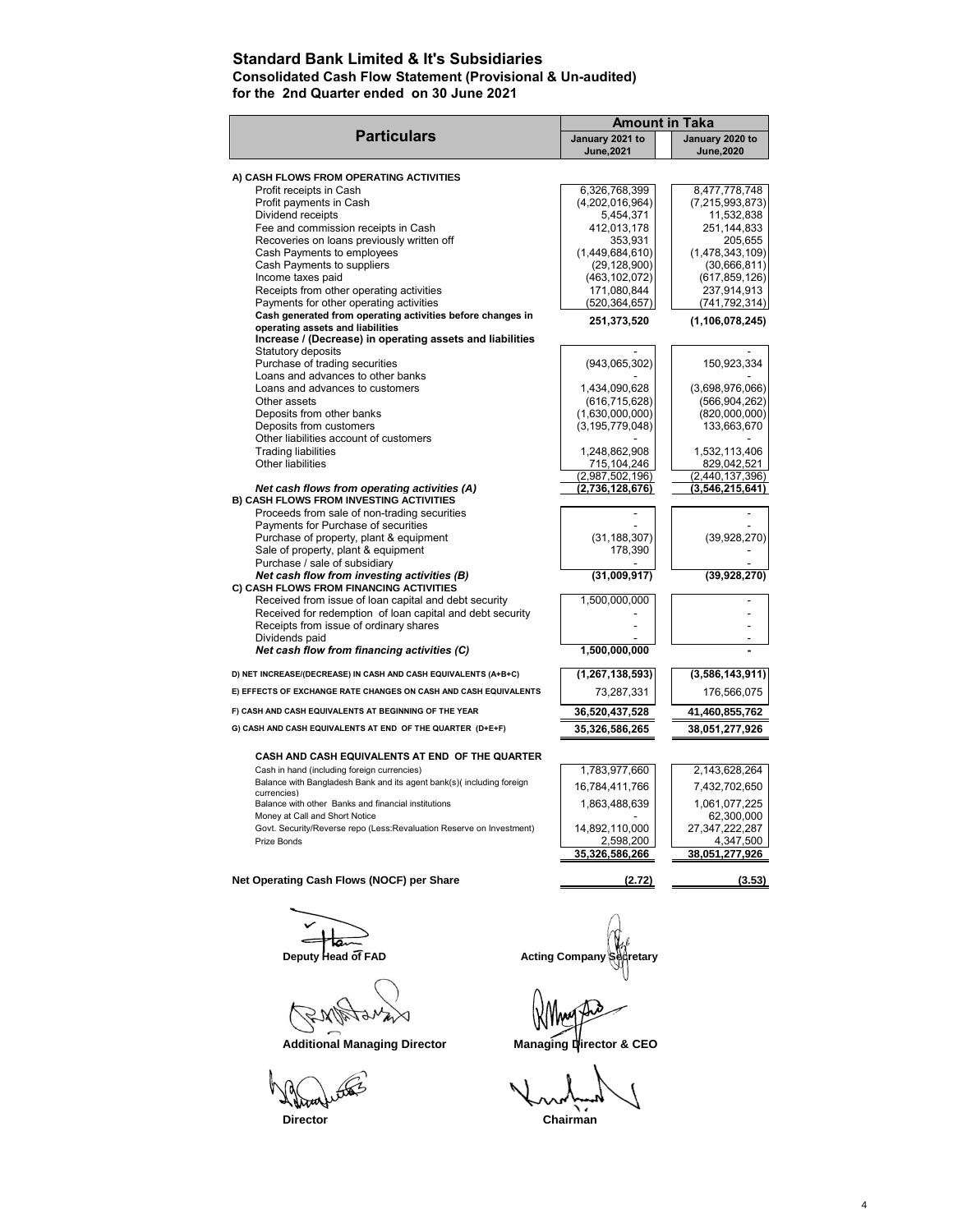### **Standard Bank Limited & It's Subsidiaries**

**Consolidated Cash Flow Statement (Provisional & Un-audited)**

**for the 2nd Quarter ended on 30 June 2021**

|                                                                                       | <b>Amount in Taka</b>              |                                  |
|---------------------------------------------------------------------------------------|------------------------------------|----------------------------------|
| <b>Particulars</b>                                                                    | January 2021 to                    | January 2020 to                  |
|                                                                                       | June, 2021                         | <b>June, 2020</b>                |
|                                                                                       |                                    |                                  |
| A) CASH FLOWS FROM OPERATING ACTIVITIES<br>Profit receipts in Cash                    | 6,326,768,399                      | 8,477,778,748                    |
| Profit payments in Cash                                                               | (4,202,016,964)                    | (7, 215, 993, 873)               |
| Dividend receipts                                                                     | 5,454,371                          | 11,532,838                       |
| Fee and commission receipts in Cash                                                   | 412,013,178                        | 251,144,833                      |
| Recoveries on loans previously written off                                            | 353,931                            | 205,655                          |
| Cash Payments to employees                                                            | (1,449,684,610)                    | (1,478,343,109)                  |
| Cash Payments to suppliers                                                            | (29, 128, 900)                     | (30,666,811)                     |
| Income taxes paid                                                                     | (463, 102, 072)                    | (617, 859, 126)                  |
| Receipts from other operating activities                                              | 171,080,844                        | 237,914,913                      |
| Payments for other operating activities                                               | (520, 364, 657)                    | (741, 792, 314)                  |
| Cash generated from operating activities before changes in                            | 251,373,520                        | (1, 106, 078, 245)               |
| operating assets and liabilities                                                      |                                    |                                  |
| Increase / (Decrease) in operating assets and liabilities                             |                                    |                                  |
| Statutory deposits                                                                    |                                    |                                  |
| Purchase of trading securities                                                        | (943,065,302)                      | 150,923,334                      |
| Loans and advances to other banks                                                     |                                    |                                  |
| Loans and advances to customers<br>Other assets                                       | 1,434,090,628                      | (3,698,976,066)                  |
| Deposits from other banks                                                             | (616, 715, 628)<br>(1,630,000,000) | (566, 904, 262)<br>(820,000,000) |
| Deposits from customers                                                               | (3, 195, 779, 048)                 | 133,663,670                      |
| Other liabilities account of customers                                                |                                    |                                  |
| <b>Trading liabilities</b>                                                            | 1,248,862,908                      | 1,532,113,406                    |
| Other liabilities                                                                     | 715,104,246                        | 829,042,521                      |
|                                                                                       | (2,987,502,196)                    | (2,440,137,396)                  |
| Net cash flows from operating activities (A)                                          | (2,736,128,676)                    | (3,546,215,641)                  |
| B) CASH FLOWS FROM INVESTING ACTIVITIES                                               |                                    |                                  |
| Proceeds from sale of non-trading securities                                          |                                    |                                  |
| Payments for Purchase of securities                                                   |                                    |                                  |
| Purchase of property, plant & equipment                                               | (31, 188, 307)                     | (39, 928, 270)                   |
| Sale of property, plant & equipment                                                   | 178,390                            |                                  |
| Purchase / sale of subsidiary                                                         |                                    |                                  |
| Net cash flow from investing activities (B)                                           | (31,009,917)                       | (39, 928, 270)                   |
| C) CASH FLOWS FROM FINANCING ACTIVITIES                                               |                                    |                                  |
| Received from issue of loan capital and debt security                                 | 1,500,000,000                      |                                  |
| Received for redemption of loan capital and debt security                             |                                    |                                  |
| Receipts from issue of ordinary shares<br>Dividends paid                              |                                    |                                  |
| Net cash flow from financing activities (C)                                           | 1,500,000,000                      |                                  |
|                                                                                       |                                    |                                  |
| D) NET INCREASE/(DECREASE) IN CASH AND CASH EQUIVALENTS (A+B+C)                       | (1, 267, 138, 593)                 | (3,586,143,911)                  |
| E) EFFECTS OF EXCHANGE RATE CHANGES ON CASH AND CASH EQUIVALENTS                      | 73,287,331                         | 176,566,075                      |
| F) CASH AND CASH EQUIVALENTS AT BEGINNING OF THE YEAR                                 | 36,520,437,528                     | 41,460,855,762                   |
| G) CASH AND CASH EQUIVALENTS AT END OF THE QUARTER (D+E+F)                            | 35,326,586,265                     | 38,051,277,926                   |
|                                                                                       |                                    |                                  |
| CASH AND CASH EQUIVALENTS AT END OF THE QUARTER                                       |                                    |                                  |
| Cash in hand (including foreign currencies)                                           | 1,783,977,660                      | 2,143,628,264                    |
| Balance with Bangladesh Bank and its agent bank(s)( including foreign                 | 16,784,411,766                     | 7,432,702,650                    |
| currencies)                                                                           |                                    |                                  |
| Balance with other Banks and financial institutions<br>Money at Call and Short Notice | 1,863,488,639                      | 1,061,077,225<br>62,300,000      |
| Govt. Security/Reverse repo (Less:Revaluation Reserve on Investment)                  | 14,892,110,000                     | 27,347,222,287                   |
| Prize Bonds                                                                           | 2,598,200                          | 4,347,500                        |
|                                                                                       | 35,326,586,266                     | 38,051,277,926                   |
|                                                                                       |                                    |                                  |
| Net Operating Cash Flows (NOCF) per Share                                             | (2.72)                             | (3.53)                           |
|                                                                                       |                                    |                                  |

Wern ◁

Additional Managing Director **Managing Director & CEO** 

**Nitra** 

**Deputy Head of FAD**<br>
Deputy Head of FAD Acting Company Secretary

Yhoo

**Director** Chairman Chairmann Chairmann Chairmann Chairmann Chairmann Chairmann Chairmann Chairmann Chairmann Chairmann Chairmann Chairmann Chairmann Chairmann Chairmann Chairmann Chairmann Chairmann Chairmann Chairmann Ch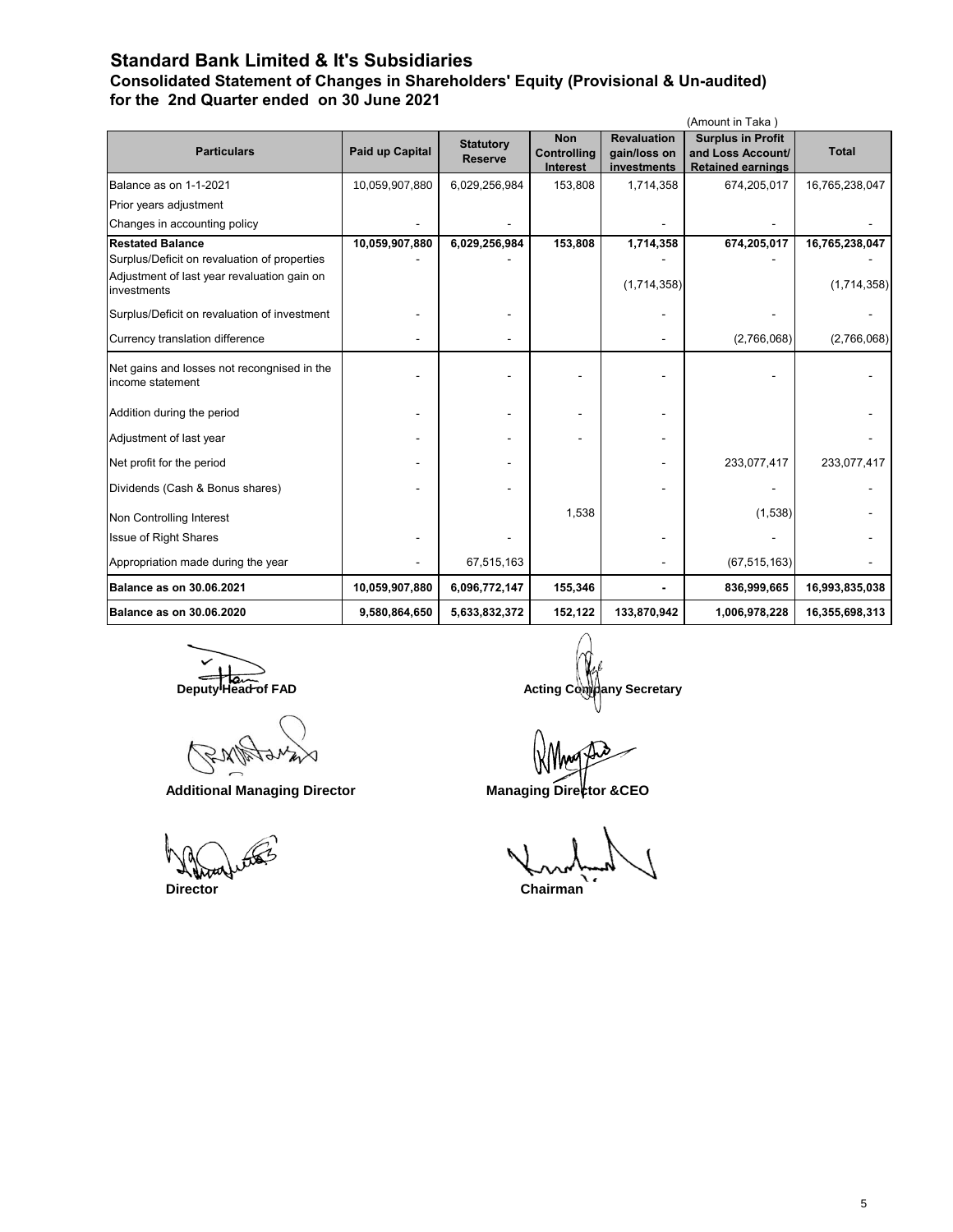### **Standard Bank Limited & It's Subsidiaries**

**Consolidated Statement of Changes in Shareholders' Equity (Provisional & Un-audited) for the 2nd Quarter ended on 30 June 2021**

|                                                                 |                 |                  |                           |                                    | (Amount in Taka)                              |                |
|-----------------------------------------------------------------|-----------------|------------------|---------------------------|------------------------------------|-----------------------------------------------|----------------|
| <b>Particulars</b>                                              | Paid up Capital | <b>Statutory</b> | <b>Non</b><br>Controlling | <b>Revaluation</b><br>gain/loss on | <b>Surplus in Profit</b><br>and Loss Account/ | <b>Total</b>   |
|                                                                 |                 | <b>Reserve</b>   | <b>Interest</b>           | investments                        | <b>Retained earnings</b>                      |                |
| Balance as on 1-1-2021                                          | 10,059,907,880  | 6,029,256,984    | 153,808                   | 1,714,358                          | 674,205,017                                   | 16,765,238,047 |
| Prior years adjustment                                          |                 |                  |                           |                                    |                                               |                |
| Changes in accounting policy                                    |                 |                  |                           |                                    |                                               |                |
| <b>Restated Balance</b>                                         | 10,059,907,880  | 6,029,256,984    | 153,808                   | 1,714,358                          | 674,205,017                                   | 16,765,238,047 |
| Surplus/Deficit on revaluation of properties                    |                 |                  |                           |                                    |                                               |                |
| Adjustment of last year revaluation gain on<br>investments      |                 |                  |                           | (1,714,358)                        |                                               | (1,714,358)    |
| Surplus/Deficit on revaluation of investment                    |                 |                  |                           |                                    |                                               |                |
| Currency translation difference                                 |                 |                  |                           |                                    | (2,766,068)                                   | (2,766,068)    |
| Net gains and losses not recongnised in the<br>income statement |                 |                  |                           |                                    |                                               |                |
| Addition during the period                                      |                 |                  |                           |                                    |                                               |                |
| Adjustment of last year                                         |                 |                  |                           |                                    |                                               |                |
| Net profit for the period                                       |                 |                  |                           |                                    | 233,077,417                                   | 233,077,417    |
| Dividends (Cash & Bonus shares)                                 |                 |                  |                           |                                    |                                               |                |
| Non Controlling Interest                                        |                 |                  | 1,538                     |                                    | (1,538)                                       |                |
| <b>Issue of Right Shares</b>                                    |                 |                  |                           |                                    |                                               |                |
| Appropriation made during the year                              |                 | 67,515,163       |                           |                                    | (67, 515, 163)                                |                |
| <b>Balance as on 30.06.2021</b>                                 | 10,059,907,880  | 6,096,772,147    | 155,346                   |                                    | 836,999,665                                   | 16,993,835,038 |
| <b>Balance as on 30.06.2020</b>                                 | 9,580,864,650   | 5,633,832,372    | 152,122                   | 133,870,942                        | 1,006,978,228                                 | 16,355,698,313 |

Additional Managing Director **Managing Director** Managing Director

**Deputy Head of FAD Deputy Head of FAD Acting Company Secretary** 

 **Director Chairman**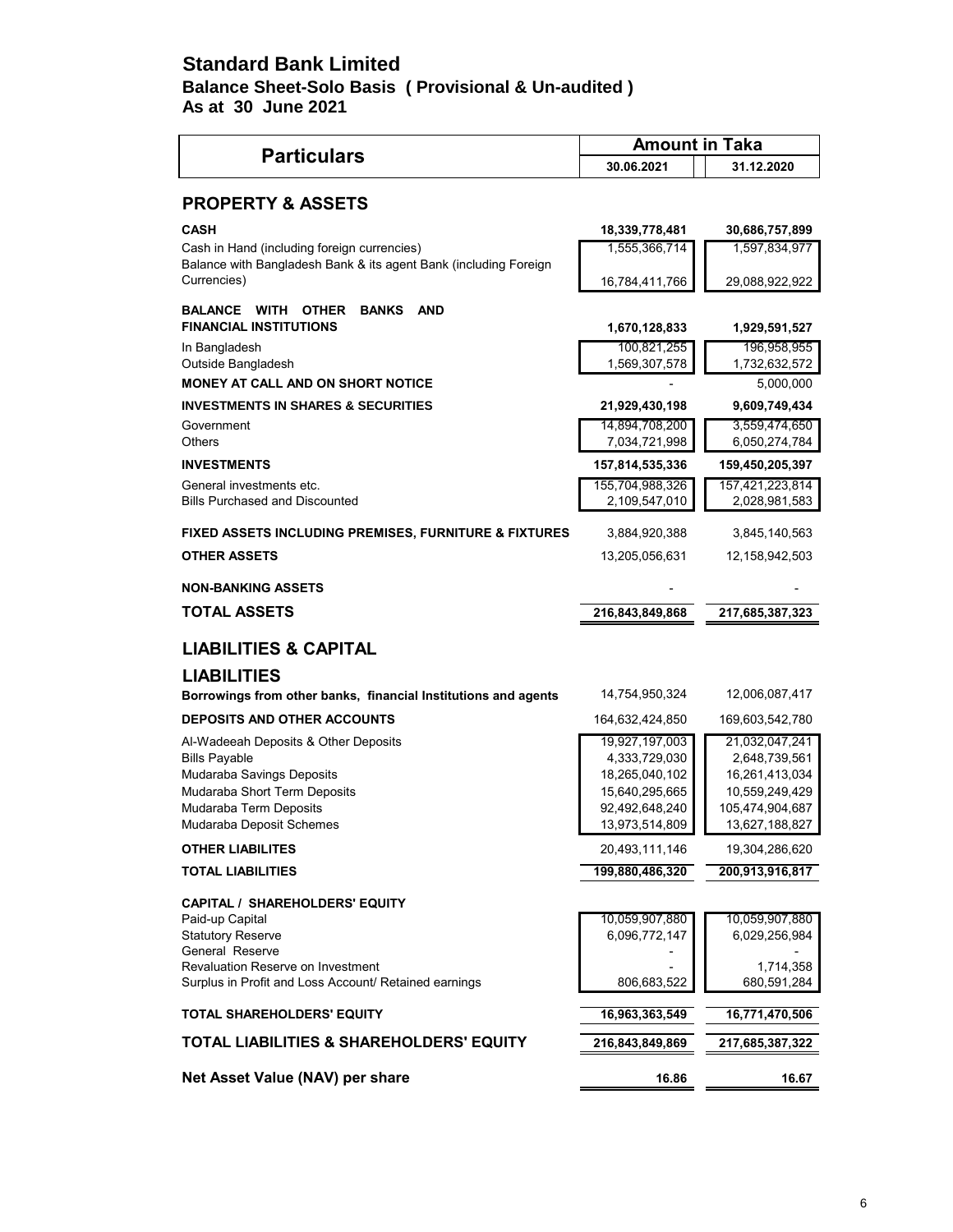## **Standard Bank Limited Balance Sheet-Solo Basis ( Provisional & Un-audited ) As at 30 June 2021**

|                                                                                          | <b>Amount in Taka</b>            |                                  |  |
|------------------------------------------------------------------------------------------|----------------------------------|----------------------------------|--|
| <b>Particulars</b>                                                                       | 30.06.2021                       | 31.12.2020                       |  |
| <b>PROPERTY &amp; ASSETS</b>                                                             |                                  |                                  |  |
| CASH                                                                                     | 18,339,778,481                   | 30,686,757,899                   |  |
| Cash in Hand (including foreign currencies)                                              | 1,555,366,714                    | 1,597,834,977                    |  |
| Balance with Bangladesh Bank & its agent Bank (including Foreign<br>Currencies)          | 16,784,411,766                   | 29,088,922,922                   |  |
| <b>BANKS</b><br><b>AND</b><br><b>BALANCE WITH OTHER</b><br><b>FINANCIAL INSTITUTIONS</b> | 1,670,128,833                    | 1,929,591,527                    |  |
| In Bangladesh<br>Outside Bangladesh                                                      | 100,821,255<br>1,569,307,578     | 196,958,955<br>1,732,632,572     |  |
| MONEY AT CALL AND ON SHORT NOTICE                                                        |                                  | 5,000,000                        |  |
| <b>INVESTMENTS IN SHARES &amp; SECURITIES</b>                                            | 21,929,430,198                   | 9,609,749,434                    |  |
| Government<br>Others                                                                     | 14,894,708,200<br>7,034,721,998  | 3,559,474,650<br>6,050,274,784   |  |
| <b>INVESTMENTS</b>                                                                       | 157,814,535,336                  | 159,450,205,397                  |  |
| General investments etc.<br><b>Bills Purchased and Discounted</b>                        | 155,704,988,326<br>2,109,547,010 | 157,421,223,814<br>2,028,981,583 |  |
| FIXED ASSETS INCLUDING PREMISES, FURNITURE & FIXTURES                                    | 3,884,920,388                    | 3,845,140,563                    |  |
| <b>OTHER ASSETS</b>                                                                      | 13,205,056,631                   | 12,158,942,503                   |  |
| <b>NON-BANKING ASSETS</b>                                                                |                                  |                                  |  |
| <b>TOTAL ASSETS</b>                                                                      | 216,843,849,868                  | 217,685,387,323                  |  |
| <b>LIABILITIES &amp; CAPITAL</b>                                                         |                                  |                                  |  |
| <b>LIABILITIES</b>                                                                       |                                  |                                  |  |
| Borrowings from other banks, financial Institutions and agents                           | 14,754,950,324                   | 12,006,087,417                   |  |
| <b>DEPOSITS AND OTHER ACCOUNTS</b>                                                       | 164,632,424,850                  | 169,603,542,780                  |  |
| Al-Wadeeah Deposits & Other Deposits                                                     | 19,927,197,003                   | 21,032,047,241                   |  |
| <b>Bills Payable</b><br>Mudaraba Savings Deposits                                        | 4,333,729,030<br>18,265,040,102  | 2,648,739,561<br>16,261,413,034  |  |
| Mudaraba Short Term Deposits                                                             | 15,640,295,665                   | 10,559,249,429                   |  |
| Mudaraba Term Deposits                                                                   | 92,492,648,240                   | 105,474,904,687                  |  |
| Mudaraba Deposit Schemes                                                                 | 13,973,514,809                   | 13,627,188,827                   |  |
| <b>OTHER LIABILITES</b>                                                                  | 20,493,111,146                   | 19,304,286,620                   |  |
| <b>TOTAL LIABILITIES</b>                                                                 | 199,880,486,320                  | 200,913,916,817                  |  |
| <b>CAPITAL / SHAREHOLDERS' EQUITY</b>                                                    |                                  |                                  |  |
| Paid-up Capital                                                                          | 10,059,907,880                   | 10,059,907,880                   |  |
| <b>Statutory Reserve</b><br>General Reserve                                              | 6,096,772,147                    | 6,029,256,984                    |  |
| Revaluation Reserve on Investment                                                        |                                  | 1,714,358                        |  |
| Surplus in Profit and Loss Account/ Retained earnings                                    | 806,683,522                      | 680,591,284                      |  |
| <b>TOTAL SHAREHOLDERS' EQUITY</b>                                                        | 16,963,363,549                   | 16,771,470,506                   |  |
| TOTAL LIABILITIES & SHAREHOLDERS' EQUITY                                                 | 216,843,849,869                  | 217,685,387,322                  |  |
| Net Asset Value (NAV) per share                                                          | 16.86                            | 16.67                            |  |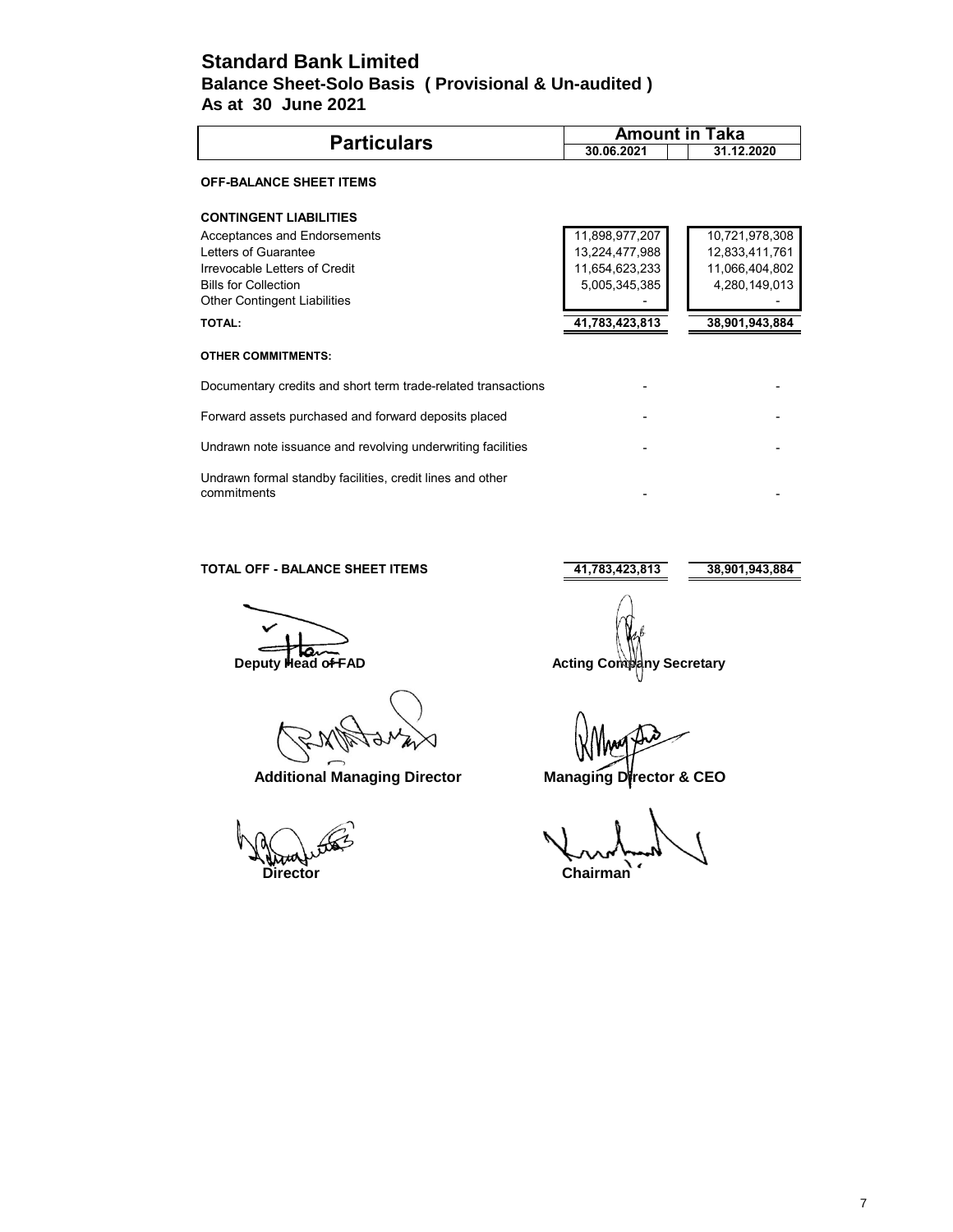### **Standard Bank Limited As at 30 June 2021 Balance Sheet-Solo Basis ( Provisional & Un-audited )**

| <b>Particulars</b>                                                       |                | <b>Amount in Taka</b> |
|--------------------------------------------------------------------------|----------------|-----------------------|
|                                                                          | 30.06.2021     | 31.12.2020            |
| <b>OFF-BALANCE SHEET ITEMS</b>                                           |                |                       |
| <b>CONTINGENT LIABILITIES</b>                                            |                |                       |
| Acceptances and Endorsements                                             | 11,898,977,207 | 10,721,978,308        |
| Letters of Guarantee                                                     | 13,224,477,988 | 12,833,411,761        |
| Irrevocable Letters of Credit                                            | 11,654,623,233 | 11,066,404,802        |
| <b>Bills for Collection</b>                                              | 5,005,345,385  | 4,280,149,013         |
| <b>Other Contingent Liabilities</b>                                      |                |                       |
| <b>TOTAL:</b>                                                            | 41,783,423,813 | 38,901,943,884        |
| <b>OTHER COMMITMENTS:</b>                                                |                |                       |
| Documentary credits and short term trade-related transactions            |                |                       |
| Forward assets purchased and forward deposits placed                     |                |                       |
| Undrawn note issuance and revolving underwriting facilities              |                |                       |
| Undrawn formal standby facilities, credit lines and other<br>commitments |                |                       |

### **TOTAL OFF - BALANCE SHEET ITEMS** 41,783,423,813 38,901,943,884

 **Additional Managing Director Managing Director & CEO**

**Director** Chairman<sup>n</sup>

**Deputy Head of FAD** Acting Company Secretary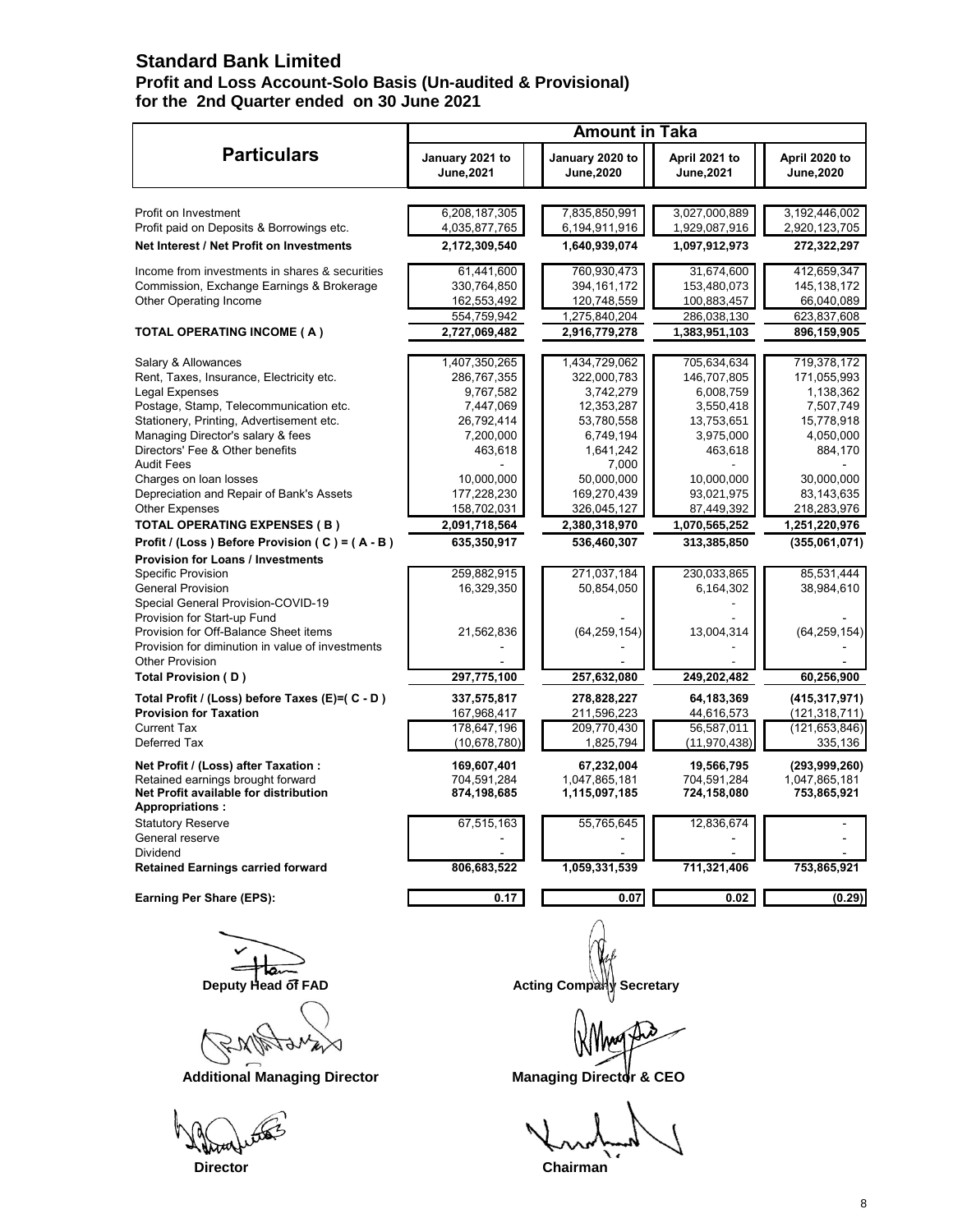# **Standard Bank Limited**

### **Profit and Loss Account-Solo Basis (Un-audited & Provisional) for the 2nd Quarter ended on 30 June 2021**

|                                                                 | <b>Amount in Taka</b>         |  |                               |                             |                             |
|-----------------------------------------------------------------|-------------------------------|--|-------------------------------|-----------------------------|-----------------------------|
| <b>Particulars</b>                                              | January 2021 to<br>June, 2021 |  | January 2020 to<br>June, 2020 | April 2021 to<br>June, 2021 | April 2020 to<br>June, 2020 |
|                                                                 |                               |  |                               |                             |                             |
| Profit on Investment                                            | 6,208,187,305                 |  | 7,835,850,991                 | 3,027,000,889               | 3,192,446,002               |
| Profit paid on Deposits & Borrowings etc.                       | 4,035,877,765                 |  | 6,194,911,916                 | 1,929,087,916               | 2,920,123,705               |
| Net Interest / Net Profit on Investments                        | 2,172,309,540                 |  | 1,640,939,074                 | 1,097,912,973               | 272,322,297                 |
| Income from investments in shares & securities                  | 61,441,600                    |  | 760,930,473                   | 31,674,600                  | 412,659,347                 |
| Commission, Exchange Earnings & Brokerage                       | 330,764,850                   |  | 394, 161, 172                 | 153,480,073                 | 145, 138, 172               |
| Other Operating Income                                          | 162,553,492                   |  | 120,748,559                   | 100,883,457                 | 66,040,089                  |
|                                                                 | 554,759,942                   |  | 1,275,840,204                 | 286,038,130                 | 623,837,608                 |
| TOTAL OPERATING INCOME (A)                                      | 2,727,069,482                 |  | 2,916,779,278                 | 1,383,951,103               | 896,159,905                 |
| Salary & Allowances                                             | 1,407,350,265                 |  | 1,434,729,062                 | 705,634,634                 | 719,378,172                 |
| Rent, Taxes, Insurance, Electricity etc.                        | 286,767,355                   |  | 322,000,783                   | 146,707,805                 | 171,055,993                 |
| Legal Expenses                                                  | 9,767,582                     |  | 3,742,279                     | 6,008,759                   | 1,138,362                   |
| Postage, Stamp, Telecommunication etc.                          | 7,447,069                     |  | 12,353,287                    | 3,550,418                   | 7,507,749                   |
| Stationery, Printing, Advertisement etc.                        | 26,792,414                    |  | 53,780,558                    | 13,753,651                  | 15,778,918                  |
| Managing Director's salary & fees                               | 7,200,000                     |  | 6,749,194                     | 3,975,000                   | 4,050,000                   |
| Directors' Fee & Other benefits                                 | 463,618                       |  | 1,641,242                     | 463,618                     | 884,170                     |
| <b>Audit Fees</b>                                               |                               |  | 7,000                         |                             |                             |
| Charges on loan losses                                          | 10,000,000                    |  | 50,000,000                    | 10,000,000                  | 30,000,000                  |
| Depreciation and Repair of Bank's Assets                        | 177,228,230                   |  | 169,270,439                   | 93,021,975                  | 83,143,635                  |
| <b>Other Expenses</b>                                           | 158,702,031                   |  | 326,045,127                   | 87,449,392                  | 218,283,976                 |
| <b>TOTAL OPERATING EXPENSES (B)</b>                             | 2,091,718,564                 |  | 2,380,318,970                 | 1,070,565,252               | 1,251,220,976               |
| Profit / (Loss) Before Provision (C) = (A-B)                    | 635,350,917                   |  | 536,460,307                   | 313,385,850                 | (355,061,071)               |
| <b>Provision for Loans / Investments</b>                        |                               |  |                               |                             |                             |
| Specific Provision                                              | 259,882,915                   |  | 271,037,184                   | 230,033,865                 | 85,531,444                  |
| <b>General Provision</b>                                        | 16,329,350                    |  | 50,854,050                    | 6,164,302                   | 38,984,610                  |
| Special General Provision-COVID-19                              |                               |  |                               |                             |                             |
| Provision for Start-up Fund                                     |                               |  |                               |                             |                             |
| Provision for Off-Balance Sheet items                           | 21,562,836                    |  | (64, 259, 154)                | 13,004,314                  | (64, 259, 154)              |
| Provision for diminution in value of investments                |                               |  |                               |                             |                             |
| <b>Other Provision</b>                                          |                               |  |                               |                             |                             |
| Total Provision (D)                                             | 297,775,100                   |  | 257,632,080                   | 249,202,482                 | 60,256,900                  |
| Total Profit / (Loss) before Taxes (E)=( C - D)                 | 337,575,817                   |  | 278,828,227                   | 64, 183, 369                | (415, 317, 971)             |
| <b>Provision for Taxation</b>                                   | 167,968,417                   |  | 211,596,223                   | 44,616,573                  | (121, 318, 711)             |
| <b>Current Tax</b>                                              | 178,647,196                   |  | 209,770,430                   | 56,587,011                  | (121, 653, 846)             |
| Deferred Tax                                                    | (10,678,780)                  |  | 1,825,794                     | (11, 970, 438)              | 335,136                     |
| Net Profit / (Loss) after Taxation :                            | 169,607,401                   |  | 67,232,004                    | 19,566,795                  | (293,999,260)               |
| Retained earnings brought forward                               | 704,591,284                   |  | 1,047,865,181                 | 704,591,284                 | 1,047,865,181               |
| Net Profit available for distribution<br><b>Appropriations:</b> | 874,198,685                   |  | 1,115,097,185                 | 724,158,080                 | 753,865,921                 |
| <b>Statutory Reserve</b>                                        | 67,515,163                    |  | 55,765,645                    | 12,836,674                  |                             |
| General reserve                                                 |                               |  |                               |                             |                             |
| Dividend                                                        |                               |  |                               |                             |                             |
| <b>Retained Earnings carried forward</b>                        | 806,683,522                   |  | 1,059,331,539                 | 711,321,406                 | 753,865,921                 |
| <b>Earning Per Share (EPS):</b>                                 | 0.17                          |  | 0.07                          | 0.02                        | (0.29)                      |
|                                                                 |                               |  |                               |                             |                             |
|                                                                 |                               |  |                               |                             |                             |

◁ 9

Additional Managing Director **Managing Director Managing Director & CEO** 

iato

**Deputy Head of FAD Acting Company Secretary** 

**Director** Chairman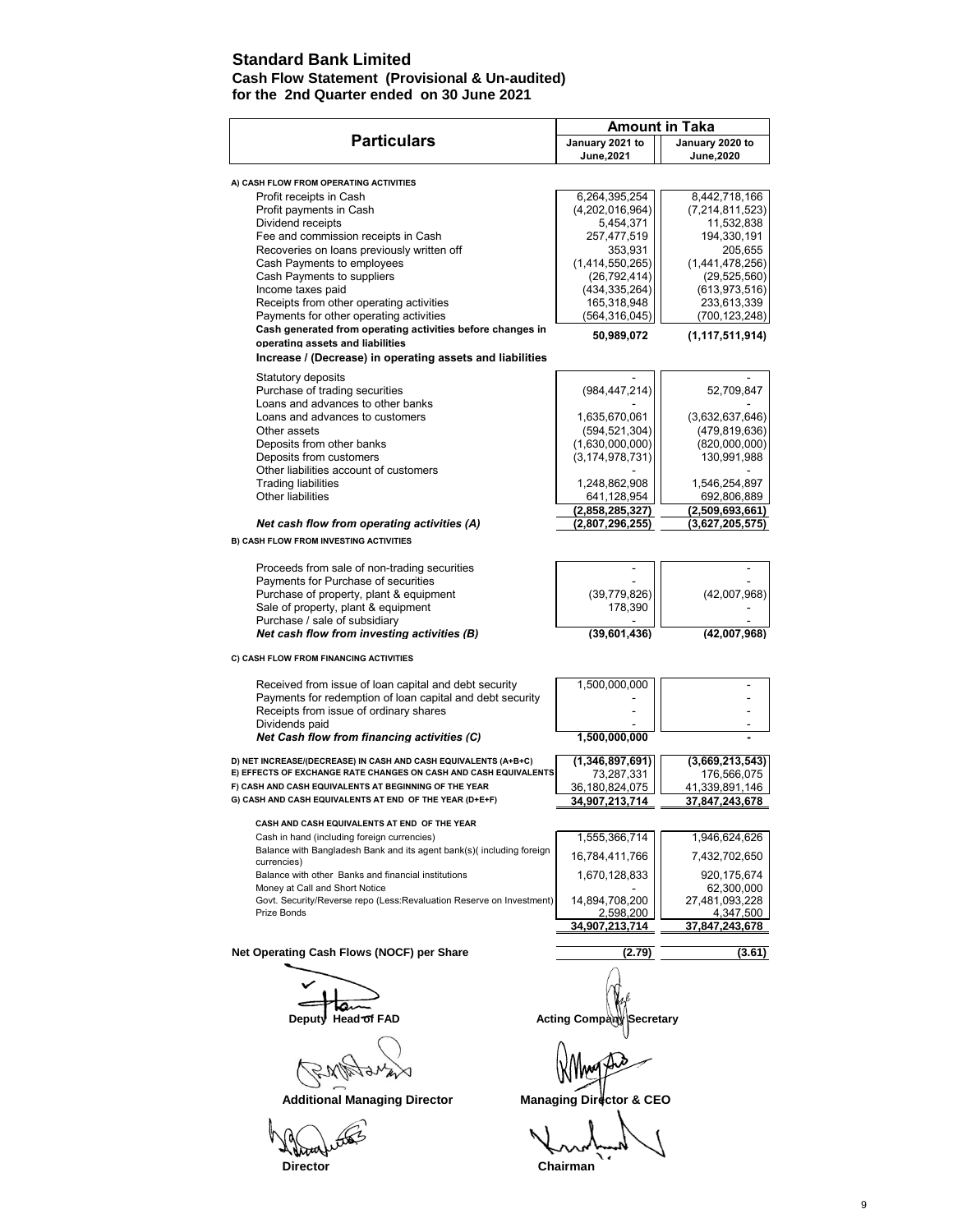### **Standard Bank Limited**

#### **Cash Flow Statement (Provisional & Un-audited) for the 2nd Quarter ended on 30 June 2021**

| January 2021 to<br>January 2020 to<br>June, 2021<br>June, 2020<br>A) CASH FLOW FROM OPERATING ACTIVITIES<br>8,442,718,166<br>6,264,395,254<br>Profit receipts in Cash<br>(4,202,016,964)<br>(7, 214, 811, 523)<br>Profit payments in Cash<br>Dividend receipts<br>11,532,838<br>5,454,371<br>Fee and commission receipts in Cash<br>194,330,191<br>257,477,519<br>Recoveries on loans previously written off<br>353,931<br>205,655<br>Cash Payments to employees<br>(1,414,550,265)<br>(1,441,478,256)<br>Cash Payments to suppliers<br>(26, 792, 414)<br>(29, 525, 560)<br>Income taxes paid<br>(434, 335, 264)<br>(613, 973, 516)<br>165,318,948<br>Receipts from other operating activities<br>233,613,339<br>Payments for other operating activities<br>(564, 316, 045)<br>(700,123,248)<br>Cash generated from operating activities before changes in<br>50,989,072<br>(1, 117, 511, 914)<br>operating assets and liabilities<br>Increase / (Decrease) in operating assets and liabilities<br>Statutory deposits<br>Purchase of trading securities<br>(984, 447, 214)<br>52,709,847<br>Loans and advances to other banks<br>Loans and advances to customers<br>1,635,670,061<br>(3,632,637,646)<br>Other assets<br>(594, 521, 304)<br>(479.819.636)<br>(820,000,000)<br>Deposits from other banks<br>(1,630,000,000)<br>Deposits from customers<br>(3, 174, 978, 731)<br>130,991,988<br>Other liabilities account of customers<br><b>Trading liabilities</b><br>1,248,862,908<br>1,546,254,897<br>Other liabilities<br>641,128,954<br>692,806,889<br>(2,858,285,327)<br>(2,509,693,661)<br>(2,807,296,255)<br>(3,627,205,575)<br>Net cash flow from operating activities (A)<br><b>B) CASH FLOW FROM INVESTING ACTIVITIES</b><br>Proceeds from sale of non-trading securities<br>Payments for Purchase of securities<br>Purchase of property, plant & equipment<br>(39, 779, 826)<br>(42,007,968)<br>Sale of property, plant & equipment<br>178,390<br>Purchase / sale of subsidiary<br>Net cash flow from investing activities (B)<br>(39,601,436)<br>(42,007,968)<br>C) CASH FLOW FROM FINANCING ACTIVITIES<br>1,500,000,000<br>Received from issue of loan capital and debt security<br>Payments for redemption of loan capital and debt security<br>Receipts from issue of ordinary shares<br>Dividends paid<br>Net Cash flow from financing activities (C)<br>1,500,000,000<br>D) NET INCREASE/(DECREASE) IN CASH AND CASH EQUIVALENTS (A+B+C)<br>(1,346,897,691)<br>(3,669,213,543)<br>E) EFFECTS OF EXCHANGE RATE CHANGES ON CASH AND CASH EQUIVALENTS<br>73,287,331<br>176,566,075<br>F) CASH AND CASH EQUIVALENTS AT BEGINNING OF THE YEAR<br>36,180,824,075<br>41,339,891,146<br>37,847,243,678<br>G) CASH AND CASH EQUIVALENTS AT END OF THE YEAR (D+E+F)<br>34,907,213,714<br>CASH AND CASH EQUIVALENTS AT END OF THE YEAR<br>1,555,366,714<br>1,946,624,626<br>Cash in hand (including foreign currencies)<br>Balance with Bangladesh Bank and its agent bank(s)(including foreign<br>16,784,411,766<br>7,432,702,650<br>currencies)<br>1,670,128,833<br>920,175,674<br>Balance with other Banks and financial institutions<br>62,300,000<br>Money at Call and Short Notice<br>27,481,093,228<br>Govt. Security/Reverse repo (Less:Revaluation Reserve on Investment)<br>14,894,708,200<br>4,347,500<br>Prize Bonds<br>2,598,200<br>34,907,213,714<br>37,847,243,678<br>Net Operating Cash Flows (NOCF) per Share<br>(3.61)<br>(2.79)<br>Head of FAD<br><b>Acting Company</b><br>Deput√<br>Secretary |                    | <b>Amount in Taka</b> |
|------------------------------------------------------------------------------------------------------------------------------------------------------------------------------------------------------------------------------------------------------------------------------------------------------------------------------------------------------------------------------------------------------------------------------------------------------------------------------------------------------------------------------------------------------------------------------------------------------------------------------------------------------------------------------------------------------------------------------------------------------------------------------------------------------------------------------------------------------------------------------------------------------------------------------------------------------------------------------------------------------------------------------------------------------------------------------------------------------------------------------------------------------------------------------------------------------------------------------------------------------------------------------------------------------------------------------------------------------------------------------------------------------------------------------------------------------------------------------------------------------------------------------------------------------------------------------------------------------------------------------------------------------------------------------------------------------------------------------------------------------------------------------------------------------------------------------------------------------------------------------------------------------------------------------------------------------------------------------------------------------------------------------------------------------------------------------------------------------------------------------------------------------------------------------------------------------------------------------------------------------------------------------------------------------------------------------------------------------------------------------------------------------------------------------------------------------------------------------------------------------------------------------------------------------------------------------------------------------------------------------------------------------------------------------------------------------------------------------------------------------------------------------------------------------------------------------------------------------------------------------------------------------------------------------------------------------------------------------------------------------------------------------------------------------------------------------------------------------------------------------------------------------------------------------------------------------------------------------------------------------------------------------------------------------------------------------------------------------------------------------------------------------------------------------------------------------------------------------------------------------------------------|--------------------|-----------------------|
|                                                                                                                                                                                                                                                                                                                                                                                                                                                                                                                                                                                                                                                                                                                                                                                                                                                                                                                                                                                                                                                                                                                                                                                                                                                                                                                                                                                                                                                                                                                                                                                                                                                                                                                                                                                                                                                                                                                                                                                                                                                                                                                                                                                                                                                                                                                                                                                                                                                                                                                                                                                                                                                                                                                                                                                                                                                                                                                                                                                                                                                                                                                                                                                                                                                                                                                                                                                                                                                                                                                        | <b>Particulars</b> |                       |
|                                                                                                                                                                                                                                                                                                                                                                                                                                                                                                                                                                                                                                                                                                                                                                                                                                                                                                                                                                                                                                                                                                                                                                                                                                                                                                                                                                                                                                                                                                                                                                                                                                                                                                                                                                                                                                                                                                                                                                                                                                                                                                                                                                                                                                                                                                                                                                                                                                                                                                                                                                                                                                                                                                                                                                                                                                                                                                                                                                                                                                                                                                                                                                                                                                                                                                                                                                                                                                                                                                                        |                    |                       |
|                                                                                                                                                                                                                                                                                                                                                                                                                                                                                                                                                                                                                                                                                                                                                                                                                                                                                                                                                                                                                                                                                                                                                                                                                                                                                                                                                                                                                                                                                                                                                                                                                                                                                                                                                                                                                                                                                                                                                                                                                                                                                                                                                                                                                                                                                                                                                                                                                                                                                                                                                                                                                                                                                                                                                                                                                                                                                                                                                                                                                                                                                                                                                                                                                                                                                                                                                                                                                                                                                                                        |                    |                       |
|                                                                                                                                                                                                                                                                                                                                                                                                                                                                                                                                                                                                                                                                                                                                                                                                                                                                                                                                                                                                                                                                                                                                                                                                                                                                                                                                                                                                                                                                                                                                                                                                                                                                                                                                                                                                                                                                                                                                                                                                                                                                                                                                                                                                                                                                                                                                                                                                                                                                                                                                                                                                                                                                                                                                                                                                                                                                                                                                                                                                                                                                                                                                                                                                                                                                                                                                                                                                                                                                                                                        |                    |                       |
|                                                                                                                                                                                                                                                                                                                                                                                                                                                                                                                                                                                                                                                                                                                                                                                                                                                                                                                                                                                                                                                                                                                                                                                                                                                                                                                                                                                                                                                                                                                                                                                                                                                                                                                                                                                                                                                                                                                                                                                                                                                                                                                                                                                                                                                                                                                                                                                                                                                                                                                                                                                                                                                                                                                                                                                                                                                                                                                                                                                                                                                                                                                                                                                                                                                                                                                                                                                                                                                                                                                        |                    |                       |
|                                                                                                                                                                                                                                                                                                                                                                                                                                                                                                                                                                                                                                                                                                                                                                                                                                                                                                                                                                                                                                                                                                                                                                                                                                                                                                                                                                                                                                                                                                                                                                                                                                                                                                                                                                                                                                                                                                                                                                                                                                                                                                                                                                                                                                                                                                                                                                                                                                                                                                                                                                                                                                                                                                                                                                                                                                                                                                                                                                                                                                                                                                                                                                                                                                                                                                                                                                                                                                                                                                                        |                    |                       |
|                                                                                                                                                                                                                                                                                                                                                                                                                                                                                                                                                                                                                                                                                                                                                                                                                                                                                                                                                                                                                                                                                                                                                                                                                                                                                                                                                                                                                                                                                                                                                                                                                                                                                                                                                                                                                                                                                                                                                                                                                                                                                                                                                                                                                                                                                                                                                                                                                                                                                                                                                                                                                                                                                                                                                                                                                                                                                                                                                                                                                                                                                                                                                                                                                                                                                                                                                                                                                                                                                                                        |                    |                       |
|                                                                                                                                                                                                                                                                                                                                                                                                                                                                                                                                                                                                                                                                                                                                                                                                                                                                                                                                                                                                                                                                                                                                                                                                                                                                                                                                                                                                                                                                                                                                                                                                                                                                                                                                                                                                                                                                                                                                                                                                                                                                                                                                                                                                                                                                                                                                                                                                                                                                                                                                                                                                                                                                                                                                                                                                                                                                                                                                                                                                                                                                                                                                                                                                                                                                                                                                                                                                                                                                                                                        |                    |                       |
|                                                                                                                                                                                                                                                                                                                                                                                                                                                                                                                                                                                                                                                                                                                                                                                                                                                                                                                                                                                                                                                                                                                                                                                                                                                                                                                                                                                                                                                                                                                                                                                                                                                                                                                                                                                                                                                                                                                                                                                                                                                                                                                                                                                                                                                                                                                                                                                                                                                                                                                                                                                                                                                                                                                                                                                                                                                                                                                                                                                                                                                                                                                                                                                                                                                                                                                                                                                                                                                                                                                        |                    |                       |
|                                                                                                                                                                                                                                                                                                                                                                                                                                                                                                                                                                                                                                                                                                                                                                                                                                                                                                                                                                                                                                                                                                                                                                                                                                                                                                                                                                                                                                                                                                                                                                                                                                                                                                                                                                                                                                                                                                                                                                                                                                                                                                                                                                                                                                                                                                                                                                                                                                                                                                                                                                                                                                                                                                                                                                                                                                                                                                                                                                                                                                                                                                                                                                                                                                                                                                                                                                                                                                                                                                                        |                    |                       |
|                                                                                                                                                                                                                                                                                                                                                                                                                                                                                                                                                                                                                                                                                                                                                                                                                                                                                                                                                                                                                                                                                                                                                                                                                                                                                                                                                                                                                                                                                                                                                                                                                                                                                                                                                                                                                                                                                                                                                                                                                                                                                                                                                                                                                                                                                                                                                                                                                                                                                                                                                                                                                                                                                                                                                                                                                                                                                                                                                                                                                                                                                                                                                                                                                                                                                                                                                                                                                                                                                                                        |                    |                       |
|                                                                                                                                                                                                                                                                                                                                                                                                                                                                                                                                                                                                                                                                                                                                                                                                                                                                                                                                                                                                                                                                                                                                                                                                                                                                                                                                                                                                                                                                                                                                                                                                                                                                                                                                                                                                                                                                                                                                                                                                                                                                                                                                                                                                                                                                                                                                                                                                                                                                                                                                                                                                                                                                                                                                                                                                                                                                                                                                                                                                                                                                                                                                                                                                                                                                                                                                                                                                                                                                                                                        |                    |                       |
|                                                                                                                                                                                                                                                                                                                                                                                                                                                                                                                                                                                                                                                                                                                                                                                                                                                                                                                                                                                                                                                                                                                                                                                                                                                                                                                                                                                                                                                                                                                                                                                                                                                                                                                                                                                                                                                                                                                                                                                                                                                                                                                                                                                                                                                                                                                                                                                                                                                                                                                                                                                                                                                                                                                                                                                                                                                                                                                                                                                                                                                                                                                                                                                                                                                                                                                                                                                                                                                                                                                        |                    |                       |
|                                                                                                                                                                                                                                                                                                                                                                                                                                                                                                                                                                                                                                                                                                                                                                                                                                                                                                                                                                                                                                                                                                                                                                                                                                                                                                                                                                                                                                                                                                                                                                                                                                                                                                                                                                                                                                                                                                                                                                                                                                                                                                                                                                                                                                                                                                                                                                                                                                                                                                                                                                                                                                                                                                                                                                                                                                                                                                                                                                                                                                                                                                                                                                                                                                                                                                                                                                                                                                                                                                                        |                    |                       |
|                                                                                                                                                                                                                                                                                                                                                                                                                                                                                                                                                                                                                                                                                                                                                                                                                                                                                                                                                                                                                                                                                                                                                                                                                                                                                                                                                                                                                                                                                                                                                                                                                                                                                                                                                                                                                                                                                                                                                                                                                                                                                                                                                                                                                                                                                                                                                                                                                                                                                                                                                                                                                                                                                                                                                                                                                                                                                                                                                                                                                                                                                                                                                                                                                                                                                                                                                                                                                                                                                                                        |                    |                       |
|                                                                                                                                                                                                                                                                                                                                                                                                                                                                                                                                                                                                                                                                                                                                                                                                                                                                                                                                                                                                                                                                                                                                                                                                                                                                                                                                                                                                                                                                                                                                                                                                                                                                                                                                                                                                                                                                                                                                                                                                                                                                                                                                                                                                                                                                                                                                                                                                                                                                                                                                                                                                                                                                                                                                                                                                                                                                                                                                                                                                                                                                                                                                                                                                                                                                                                                                                                                                                                                                                                                        |                    |                       |
|                                                                                                                                                                                                                                                                                                                                                                                                                                                                                                                                                                                                                                                                                                                                                                                                                                                                                                                                                                                                                                                                                                                                                                                                                                                                                                                                                                                                                                                                                                                                                                                                                                                                                                                                                                                                                                                                                                                                                                                                                                                                                                                                                                                                                                                                                                                                                                                                                                                                                                                                                                                                                                                                                                                                                                                                                                                                                                                                                                                                                                                                                                                                                                                                                                                                                                                                                                                                                                                                                                                        |                    |                       |
|                                                                                                                                                                                                                                                                                                                                                                                                                                                                                                                                                                                                                                                                                                                                                                                                                                                                                                                                                                                                                                                                                                                                                                                                                                                                                                                                                                                                                                                                                                                                                                                                                                                                                                                                                                                                                                                                                                                                                                                                                                                                                                                                                                                                                                                                                                                                                                                                                                                                                                                                                                                                                                                                                                                                                                                                                                                                                                                                                                                                                                                                                                                                                                                                                                                                                                                                                                                                                                                                                                                        |                    |                       |
|                                                                                                                                                                                                                                                                                                                                                                                                                                                                                                                                                                                                                                                                                                                                                                                                                                                                                                                                                                                                                                                                                                                                                                                                                                                                                                                                                                                                                                                                                                                                                                                                                                                                                                                                                                                                                                                                                                                                                                                                                                                                                                                                                                                                                                                                                                                                                                                                                                                                                                                                                                                                                                                                                                                                                                                                                                                                                                                                                                                                                                                                                                                                                                                                                                                                                                                                                                                                                                                                                                                        |                    |                       |
|                                                                                                                                                                                                                                                                                                                                                                                                                                                                                                                                                                                                                                                                                                                                                                                                                                                                                                                                                                                                                                                                                                                                                                                                                                                                                                                                                                                                                                                                                                                                                                                                                                                                                                                                                                                                                                                                                                                                                                                                                                                                                                                                                                                                                                                                                                                                                                                                                                                                                                                                                                                                                                                                                                                                                                                                                                                                                                                                                                                                                                                                                                                                                                                                                                                                                                                                                                                                                                                                                                                        |                    |                       |
|                                                                                                                                                                                                                                                                                                                                                                                                                                                                                                                                                                                                                                                                                                                                                                                                                                                                                                                                                                                                                                                                                                                                                                                                                                                                                                                                                                                                                                                                                                                                                                                                                                                                                                                                                                                                                                                                                                                                                                                                                                                                                                                                                                                                                                                                                                                                                                                                                                                                                                                                                                                                                                                                                                                                                                                                                                                                                                                                                                                                                                                                                                                                                                                                                                                                                                                                                                                                                                                                                                                        |                    |                       |
|                                                                                                                                                                                                                                                                                                                                                                                                                                                                                                                                                                                                                                                                                                                                                                                                                                                                                                                                                                                                                                                                                                                                                                                                                                                                                                                                                                                                                                                                                                                                                                                                                                                                                                                                                                                                                                                                                                                                                                                                                                                                                                                                                                                                                                                                                                                                                                                                                                                                                                                                                                                                                                                                                                                                                                                                                                                                                                                                                                                                                                                                                                                                                                                                                                                                                                                                                                                                                                                                                                                        |                    |                       |
|                                                                                                                                                                                                                                                                                                                                                                                                                                                                                                                                                                                                                                                                                                                                                                                                                                                                                                                                                                                                                                                                                                                                                                                                                                                                                                                                                                                                                                                                                                                                                                                                                                                                                                                                                                                                                                                                                                                                                                                                                                                                                                                                                                                                                                                                                                                                                                                                                                                                                                                                                                                                                                                                                                                                                                                                                                                                                                                                                                                                                                                                                                                                                                                                                                                                                                                                                                                                                                                                                                                        |                    |                       |
|                                                                                                                                                                                                                                                                                                                                                                                                                                                                                                                                                                                                                                                                                                                                                                                                                                                                                                                                                                                                                                                                                                                                                                                                                                                                                                                                                                                                                                                                                                                                                                                                                                                                                                                                                                                                                                                                                                                                                                                                                                                                                                                                                                                                                                                                                                                                                                                                                                                                                                                                                                                                                                                                                                                                                                                                                                                                                                                                                                                                                                                                                                                                                                                                                                                                                                                                                                                                                                                                                                                        |                    |                       |
|                                                                                                                                                                                                                                                                                                                                                                                                                                                                                                                                                                                                                                                                                                                                                                                                                                                                                                                                                                                                                                                                                                                                                                                                                                                                                                                                                                                                                                                                                                                                                                                                                                                                                                                                                                                                                                                                                                                                                                                                                                                                                                                                                                                                                                                                                                                                                                                                                                                                                                                                                                                                                                                                                                                                                                                                                                                                                                                                                                                                                                                                                                                                                                                                                                                                                                                                                                                                                                                                                                                        |                    |                       |
|                                                                                                                                                                                                                                                                                                                                                                                                                                                                                                                                                                                                                                                                                                                                                                                                                                                                                                                                                                                                                                                                                                                                                                                                                                                                                                                                                                                                                                                                                                                                                                                                                                                                                                                                                                                                                                                                                                                                                                                                                                                                                                                                                                                                                                                                                                                                                                                                                                                                                                                                                                                                                                                                                                                                                                                                                                                                                                                                                                                                                                                                                                                                                                                                                                                                                                                                                                                                                                                                                                                        |                    |                       |
|                                                                                                                                                                                                                                                                                                                                                                                                                                                                                                                                                                                                                                                                                                                                                                                                                                                                                                                                                                                                                                                                                                                                                                                                                                                                                                                                                                                                                                                                                                                                                                                                                                                                                                                                                                                                                                                                                                                                                                                                                                                                                                                                                                                                                                                                                                                                                                                                                                                                                                                                                                                                                                                                                                                                                                                                                                                                                                                                                                                                                                                                                                                                                                                                                                                                                                                                                                                                                                                                                                                        |                    |                       |
|                                                                                                                                                                                                                                                                                                                                                                                                                                                                                                                                                                                                                                                                                                                                                                                                                                                                                                                                                                                                                                                                                                                                                                                                                                                                                                                                                                                                                                                                                                                                                                                                                                                                                                                                                                                                                                                                                                                                                                                                                                                                                                                                                                                                                                                                                                                                                                                                                                                                                                                                                                                                                                                                                                                                                                                                                                                                                                                                                                                                                                                                                                                                                                                                                                                                                                                                                                                                                                                                                                                        |                    |                       |
|                                                                                                                                                                                                                                                                                                                                                                                                                                                                                                                                                                                                                                                                                                                                                                                                                                                                                                                                                                                                                                                                                                                                                                                                                                                                                                                                                                                                                                                                                                                                                                                                                                                                                                                                                                                                                                                                                                                                                                                                                                                                                                                                                                                                                                                                                                                                                                                                                                                                                                                                                                                                                                                                                                                                                                                                                                                                                                                                                                                                                                                                                                                                                                                                                                                                                                                                                                                                                                                                                                                        |                    |                       |
|                                                                                                                                                                                                                                                                                                                                                                                                                                                                                                                                                                                                                                                                                                                                                                                                                                                                                                                                                                                                                                                                                                                                                                                                                                                                                                                                                                                                                                                                                                                                                                                                                                                                                                                                                                                                                                                                                                                                                                                                                                                                                                                                                                                                                                                                                                                                                                                                                                                                                                                                                                                                                                                                                                                                                                                                                                                                                                                                                                                                                                                                                                                                                                                                                                                                                                                                                                                                                                                                                                                        |                    |                       |
|                                                                                                                                                                                                                                                                                                                                                                                                                                                                                                                                                                                                                                                                                                                                                                                                                                                                                                                                                                                                                                                                                                                                                                                                                                                                                                                                                                                                                                                                                                                                                                                                                                                                                                                                                                                                                                                                                                                                                                                                                                                                                                                                                                                                                                                                                                                                                                                                                                                                                                                                                                                                                                                                                                                                                                                                                                                                                                                                                                                                                                                                                                                                                                                                                                                                                                                                                                                                                                                                                                                        |                    |                       |
|                                                                                                                                                                                                                                                                                                                                                                                                                                                                                                                                                                                                                                                                                                                                                                                                                                                                                                                                                                                                                                                                                                                                                                                                                                                                                                                                                                                                                                                                                                                                                                                                                                                                                                                                                                                                                                                                                                                                                                                                                                                                                                                                                                                                                                                                                                                                                                                                                                                                                                                                                                                                                                                                                                                                                                                                                                                                                                                                                                                                                                                                                                                                                                                                                                                                                                                                                                                                                                                                                                                        |                    |                       |
|                                                                                                                                                                                                                                                                                                                                                                                                                                                                                                                                                                                                                                                                                                                                                                                                                                                                                                                                                                                                                                                                                                                                                                                                                                                                                                                                                                                                                                                                                                                                                                                                                                                                                                                                                                                                                                                                                                                                                                                                                                                                                                                                                                                                                                                                                                                                                                                                                                                                                                                                                                                                                                                                                                                                                                                                                                                                                                                                                                                                                                                                                                                                                                                                                                                                                                                                                                                                                                                                                                                        |                    |                       |
|                                                                                                                                                                                                                                                                                                                                                                                                                                                                                                                                                                                                                                                                                                                                                                                                                                                                                                                                                                                                                                                                                                                                                                                                                                                                                                                                                                                                                                                                                                                                                                                                                                                                                                                                                                                                                                                                                                                                                                                                                                                                                                                                                                                                                                                                                                                                                                                                                                                                                                                                                                                                                                                                                                                                                                                                                                                                                                                                                                                                                                                                                                                                                                                                                                                                                                                                                                                                                                                                                                                        |                    |                       |
|                                                                                                                                                                                                                                                                                                                                                                                                                                                                                                                                                                                                                                                                                                                                                                                                                                                                                                                                                                                                                                                                                                                                                                                                                                                                                                                                                                                                                                                                                                                                                                                                                                                                                                                                                                                                                                                                                                                                                                                                                                                                                                                                                                                                                                                                                                                                                                                                                                                                                                                                                                                                                                                                                                                                                                                                                                                                                                                                                                                                                                                                                                                                                                                                                                                                                                                                                                                                                                                                                                                        |                    |                       |
|                                                                                                                                                                                                                                                                                                                                                                                                                                                                                                                                                                                                                                                                                                                                                                                                                                                                                                                                                                                                                                                                                                                                                                                                                                                                                                                                                                                                                                                                                                                                                                                                                                                                                                                                                                                                                                                                                                                                                                                                                                                                                                                                                                                                                                                                                                                                                                                                                                                                                                                                                                                                                                                                                                                                                                                                                                                                                                                                                                                                                                                                                                                                                                                                                                                                                                                                                                                                                                                                                                                        |                    |                       |
|                                                                                                                                                                                                                                                                                                                                                                                                                                                                                                                                                                                                                                                                                                                                                                                                                                                                                                                                                                                                                                                                                                                                                                                                                                                                                                                                                                                                                                                                                                                                                                                                                                                                                                                                                                                                                                                                                                                                                                                                                                                                                                                                                                                                                                                                                                                                                                                                                                                                                                                                                                                                                                                                                                                                                                                                                                                                                                                                                                                                                                                                                                                                                                                                                                                                                                                                                                                                                                                                                                                        |                    |                       |
|                                                                                                                                                                                                                                                                                                                                                                                                                                                                                                                                                                                                                                                                                                                                                                                                                                                                                                                                                                                                                                                                                                                                                                                                                                                                                                                                                                                                                                                                                                                                                                                                                                                                                                                                                                                                                                                                                                                                                                                                                                                                                                                                                                                                                                                                                                                                                                                                                                                                                                                                                                                                                                                                                                                                                                                                                                                                                                                                                                                                                                                                                                                                                                                                                                                                                                                                                                                                                                                                                                                        |                    |                       |
|                                                                                                                                                                                                                                                                                                                                                                                                                                                                                                                                                                                                                                                                                                                                                                                                                                                                                                                                                                                                                                                                                                                                                                                                                                                                                                                                                                                                                                                                                                                                                                                                                                                                                                                                                                                                                                                                                                                                                                                                                                                                                                                                                                                                                                                                                                                                                                                                                                                                                                                                                                                                                                                                                                                                                                                                                                                                                                                                                                                                                                                                                                                                                                                                                                                                                                                                                                                                                                                                                                                        |                    |                       |
|                                                                                                                                                                                                                                                                                                                                                                                                                                                                                                                                                                                                                                                                                                                                                                                                                                                                                                                                                                                                                                                                                                                                                                                                                                                                                                                                                                                                                                                                                                                                                                                                                                                                                                                                                                                                                                                                                                                                                                                                                                                                                                                                                                                                                                                                                                                                                                                                                                                                                                                                                                                                                                                                                                                                                                                                                                                                                                                                                                                                                                                                                                                                                                                                                                                                                                                                                                                                                                                                                                                        |                    |                       |
|                                                                                                                                                                                                                                                                                                                                                                                                                                                                                                                                                                                                                                                                                                                                                                                                                                                                                                                                                                                                                                                                                                                                                                                                                                                                                                                                                                                                                                                                                                                                                                                                                                                                                                                                                                                                                                                                                                                                                                                                                                                                                                                                                                                                                                                                                                                                                                                                                                                                                                                                                                                                                                                                                                                                                                                                                                                                                                                                                                                                                                                                                                                                                                                                                                                                                                                                                                                                                                                                                                                        |                    |                       |
|                                                                                                                                                                                                                                                                                                                                                                                                                                                                                                                                                                                                                                                                                                                                                                                                                                                                                                                                                                                                                                                                                                                                                                                                                                                                                                                                                                                                                                                                                                                                                                                                                                                                                                                                                                                                                                                                                                                                                                                                                                                                                                                                                                                                                                                                                                                                                                                                                                                                                                                                                                                                                                                                                                                                                                                                                                                                                                                                                                                                                                                                                                                                                                                                                                                                                                                                                                                                                                                                                                                        |                    |                       |
|                                                                                                                                                                                                                                                                                                                                                                                                                                                                                                                                                                                                                                                                                                                                                                                                                                                                                                                                                                                                                                                                                                                                                                                                                                                                                                                                                                                                                                                                                                                                                                                                                                                                                                                                                                                                                                                                                                                                                                                                                                                                                                                                                                                                                                                                                                                                                                                                                                                                                                                                                                                                                                                                                                                                                                                                                                                                                                                                                                                                                                                                                                                                                                                                                                                                                                                                                                                                                                                                                                                        |                    |                       |
|                                                                                                                                                                                                                                                                                                                                                                                                                                                                                                                                                                                                                                                                                                                                                                                                                                                                                                                                                                                                                                                                                                                                                                                                                                                                                                                                                                                                                                                                                                                                                                                                                                                                                                                                                                                                                                                                                                                                                                                                                                                                                                                                                                                                                                                                                                                                                                                                                                                                                                                                                                                                                                                                                                                                                                                                                                                                                                                                                                                                                                                                                                                                                                                                                                                                                                                                                                                                                                                                                                                        |                    |                       |
|                                                                                                                                                                                                                                                                                                                                                                                                                                                                                                                                                                                                                                                                                                                                                                                                                                                                                                                                                                                                                                                                                                                                                                                                                                                                                                                                                                                                                                                                                                                                                                                                                                                                                                                                                                                                                                                                                                                                                                                                                                                                                                                                                                                                                                                                                                                                                                                                                                                                                                                                                                                                                                                                                                                                                                                                                                                                                                                                                                                                                                                                                                                                                                                                                                                                                                                                                                                                                                                                                                                        |                    |                       |
|                                                                                                                                                                                                                                                                                                                                                                                                                                                                                                                                                                                                                                                                                                                                                                                                                                                                                                                                                                                                                                                                                                                                                                                                                                                                                                                                                                                                                                                                                                                                                                                                                                                                                                                                                                                                                                                                                                                                                                                                                                                                                                                                                                                                                                                                                                                                                                                                                                                                                                                                                                                                                                                                                                                                                                                                                                                                                                                                                                                                                                                                                                                                                                                                                                                                                                                                                                                                                                                                                                                        |                    |                       |
|                                                                                                                                                                                                                                                                                                                                                                                                                                                                                                                                                                                                                                                                                                                                                                                                                                                                                                                                                                                                                                                                                                                                                                                                                                                                                                                                                                                                                                                                                                                                                                                                                                                                                                                                                                                                                                                                                                                                                                                                                                                                                                                                                                                                                                                                                                                                                                                                                                                                                                                                                                                                                                                                                                                                                                                                                                                                                                                                                                                                                                                                                                                                                                                                                                                                                                                                                                                                                                                                                                                        |                    |                       |
|                                                                                                                                                                                                                                                                                                                                                                                                                                                                                                                                                                                                                                                                                                                                                                                                                                                                                                                                                                                                                                                                                                                                                                                                                                                                                                                                                                                                                                                                                                                                                                                                                                                                                                                                                                                                                                                                                                                                                                                                                                                                                                                                                                                                                                                                                                                                                                                                                                                                                                                                                                                                                                                                                                                                                                                                                                                                                                                                                                                                                                                                                                                                                                                                                                                                                                                                                                                                                                                                                                                        |                    |                       |
|                                                                                                                                                                                                                                                                                                                                                                                                                                                                                                                                                                                                                                                                                                                                                                                                                                                                                                                                                                                                                                                                                                                                                                                                                                                                                                                                                                                                                                                                                                                                                                                                                                                                                                                                                                                                                                                                                                                                                                                                                                                                                                                                                                                                                                                                                                                                                                                                                                                                                                                                                                                                                                                                                                                                                                                                                                                                                                                                                                                                                                                                                                                                                                                                                                                                                                                                                                                                                                                                                                                        |                    |                       |
|                                                                                                                                                                                                                                                                                                                                                                                                                                                                                                                                                                                                                                                                                                                                                                                                                                                                                                                                                                                                                                                                                                                                                                                                                                                                                                                                                                                                                                                                                                                                                                                                                                                                                                                                                                                                                                                                                                                                                                                                                                                                                                                                                                                                                                                                                                                                                                                                                                                                                                                                                                                                                                                                                                                                                                                                                                                                                                                                                                                                                                                                                                                                                                                                                                                                                                                                                                                                                                                                                                                        |                    |                       |
|                                                                                                                                                                                                                                                                                                                                                                                                                                                                                                                                                                                                                                                                                                                                                                                                                                                                                                                                                                                                                                                                                                                                                                                                                                                                                                                                                                                                                                                                                                                                                                                                                                                                                                                                                                                                                                                                                                                                                                                                                                                                                                                                                                                                                                                                                                                                                                                                                                                                                                                                                                                                                                                                                                                                                                                                                                                                                                                                                                                                                                                                                                                                                                                                                                                                                                                                                                                                                                                                                                                        |                    |                       |
|                                                                                                                                                                                                                                                                                                                                                                                                                                                                                                                                                                                                                                                                                                                                                                                                                                                                                                                                                                                                                                                                                                                                                                                                                                                                                                                                                                                                                                                                                                                                                                                                                                                                                                                                                                                                                                                                                                                                                                                                                                                                                                                                                                                                                                                                                                                                                                                                                                                                                                                                                                                                                                                                                                                                                                                                                                                                                                                                                                                                                                                                                                                                                                                                                                                                                                                                                                                                                                                                                                                        |                    |                       |
|                                                                                                                                                                                                                                                                                                                                                                                                                                                                                                                                                                                                                                                                                                                                                                                                                                                                                                                                                                                                                                                                                                                                                                                                                                                                                                                                                                                                                                                                                                                                                                                                                                                                                                                                                                                                                                                                                                                                                                                                                                                                                                                                                                                                                                                                                                                                                                                                                                                                                                                                                                                                                                                                                                                                                                                                                                                                                                                                                                                                                                                                                                                                                                                                                                                                                                                                                                                                                                                                                                                        |                    |                       |
|                                                                                                                                                                                                                                                                                                                                                                                                                                                                                                                                                                                                                                                                                                                                                                                                                                                                                                                                                                                                                                                                                                                                                                                                                                                                                                                                                                                                                                                                                                                                                                                                                                                                                                                                                                                                                                                                                                                                                                                                                                                                                                                                                                                                                                                                                                                                                                                                                                                                                                                                                                                                                                                                                                                                                                                                                                                                                                                                                                                                                                                                                                                                                                                                                                                                                                                                                                                                                                                                                                                        |                    |                       |
|                                                                                                                                                                                                                                                                                                                                                                                                                                                                                                                                                                                                                                                                                                                                                                                                                                                                                                                                                                                                                                                                                                                                                                                                                                                                                                                                                                                                                                                                                                                                                                                                                                                                                                                                                                                                                                                                                                                                                                                                                                                                                                                                                                                                                                                                                                                                                                                                                                                                                                                                                                                                                                                                                                                                                                                                                                                                                                                                                                                                                                                                                                                                                                                                                                                                                                                                                                                                                                                                                                                        |                    |                       |
|                                                                                                                                                                                                                                                                                                                                                                                                                                                                                                                                                                                                                                                                                                                                                                                                                                                                                                                                                                                                                                                                                                                                                                                                                                                                                                                                                                                                                                                                                                                                                                                                                                                                                                                                                                                                                                                                                                                                                                                                                                                                                                                                                                                                                                                                                                                                                                                                                                                                                                                                                                                                                                                                                                                                                                                                                                                                                                                                                                                                                                                                                                                                                                                                                                                                                                                                                                                                                                                                                                                        |                    |                       |
|                                                                                                                                                                                                                                                                                                                                                                                                                                                                                                                                                                                                                                                                                                                                                                                                                                                                                                                                                                                                                                                                                                                                                                                                                                                                                                                                                                                                                                                                                                                                                                                                                                                                                                                                                                                                                                                                                                                                                                                                                                                                                                                                                                                                                                                                                                                                                                                                                                                                                                                                                                                                                                                                                                                                                                                                                                                                                                                                                                                                                                                                                                                                                                                                                                                                                                                                                                                                                                                                                                                        |                    |                       |
|                                                                                                                                                                                                                                                                                                                                                                                                                                                                                                                                                                                                                                                                                                                                                                                                                                                                                                                                                                                                                                                                                                                                                                                                                                                                                                                                                                                                                                                                                                                                                                                                                                                                                                                                                                                                                                                                                                                                                                                                                                                                                                                                                                                                                                                                                                                                                                                                                                                                                                                                                                                                                                                                                                                                                                                                                                                                                                                                                                                                                                                                                                                                                                                                                                                                                                                                                                                                                                                                                                                        |                    |                       |
|                                                                                                                                                                                                                                                                                                                                                                                                                                                                                                                                                                                                                                                                                                                                                                                                                                                                                                                                                                                                                                                                                                                                                                                                                                                                                                                                                                                                                                                                                                                                                                                                                                                                                                                                                                                                                                                                                                                                                                                                                                                                                                                                                                                                                                                                                                                                                                                                                                                                                                                                                                                                                                                                                                                                                                                                                                                                                                                                                                                                                                                                                                                                                                                                                                                                                                                                                                                                                                                                                                                        |                    |                       |

 **Director Chairman**

 **Additional Managing Director Managing Director & CEO**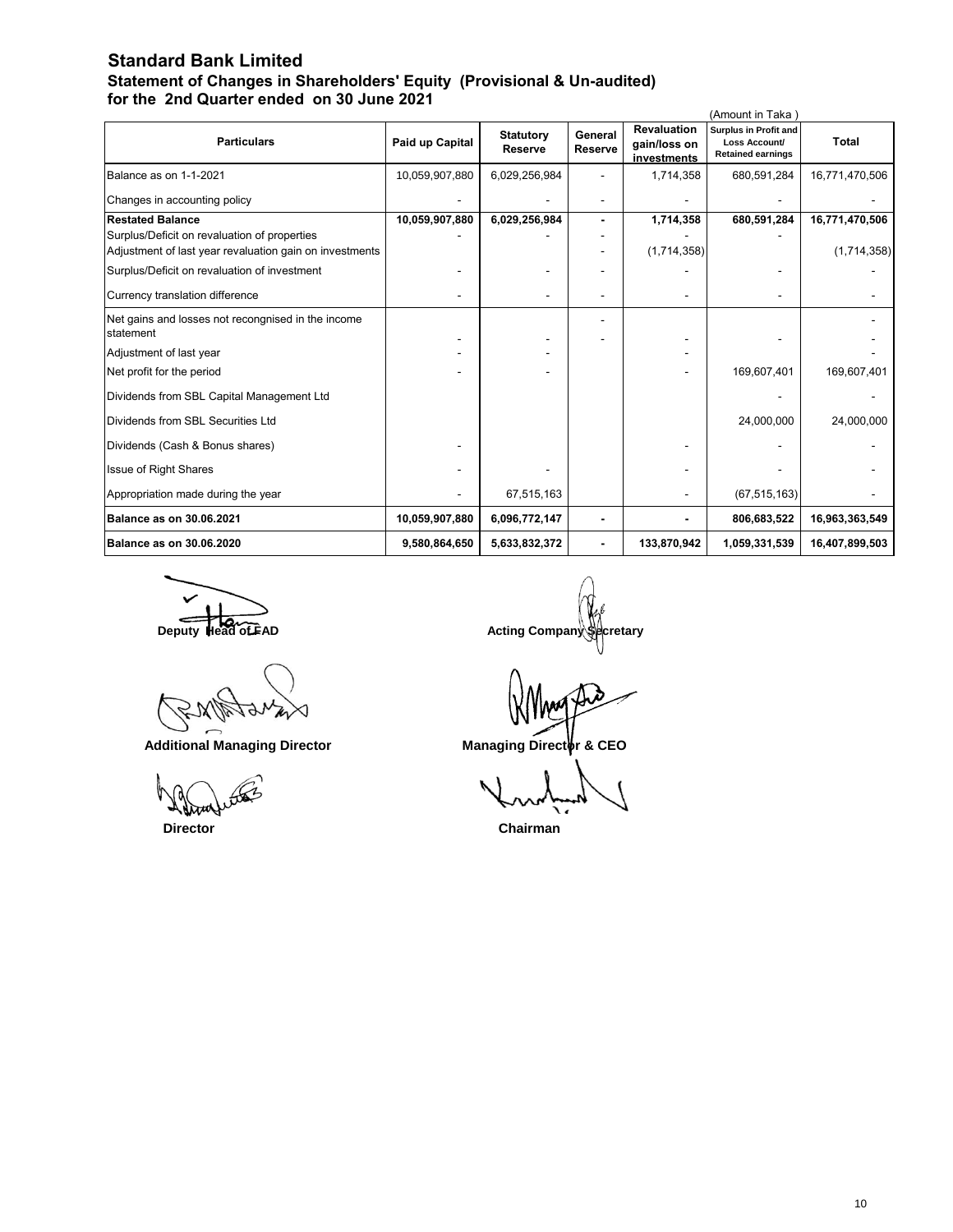### **Standard Bank Limited Statement of Changes in Shareholders' Equity (Provisional & Un-audited) for the 2nd Quarter ended on 30 June 2021**

|                                                                 |                 |                                    |                           |                                                   | (Amount in Taka                                                           |                |
|-----------------------------------------------------------------|-----------------|------------------------------------|---------------------------|---------------------------------------------------|---------------------------------------------------------------------------|----------------|
| <b>Particulars</b>                                              | Paid up Capital | <b>Statutory</b><br><b>Reserve</b> | General<br><b>Reserve</b> | <b>Revaluation</b><br>gain/loss on<br>investments | <b>Surplus in Profit and</b><br>Loss Account/<br><b>Retained earnings</b> | <b>Total</b>   |
| Balance as on 1-1-2021                                          | 10,059,907,880  | 6,029,256,984                      |                           | 1,714,358                                         | 680,591,284                                                               | 16,771,470,506 |
| Changes in accounting policy                                    |                 |                                    |                           |                                                   |                                                                           |                |
| <b>Restated Balance</b>                                         | 10,059,907,880  | 6,029,256,984                      |                           | 1,714,358                                         | 680,591,284                                                               | 16,771,470,506 |
| Surplus/Deficit on revaluation of properties                    |                 |                                    |                           |                                                   |                                                                           |                |
| Adjustment of last year revaluation gain on investments         |                 |                                    |                           | (1,714,358)                                       |                                                                           | (1,714,358)    |
| Surplus/Deficit on revaluation of investment                    |                 |                                    |                           |                                                   |                                                                           |                |
| Currency translation difference                                 |                 |                                    |                           |                                                   |                                                                           |                |
| Net gains and losses not recongnised in the income<br>statement |                 |                                    |                           |                                                   |                                                                           |                |
| Adjustment of last year                                         |                 |                                    |                           |                                                   |                                                                           |                |
| Net profit for the period                                       |                 |                                    |                           |                                                   | 169,607,401                                                               | 169,607,401    |
| Dividends from SBL Capital Management Ltd                       |                 |                                    |                           |                                                   |                                                                           |                |
| Dividends from SBL Securities Ltd                               |                 |                                    |                           |                                                   | 24,000,000                                                                | 24,000,000     |
| Dividends (Cash & Bonus shares)                                 |                 |                                    |                           |                                                   |                                                                           |                |
| <b>Issue of Right Shares</b>                                    |                 |                                    |                           |                                                   |                                                                           |                |
| Appropriation made during the year                              |                 | 67,515,163                         |                           |                                                   | (67, 515, 163)                                                            |                |
| Balance as on 30.06.2021                                        | 10,059,907,880  | 6,096,772,147                      |                           |                                                   | 806,683,522                                                               | 16,963,363,549 |
| Balance as on 30.06.2020                                        | 9,580,864,650   | 5,633,832,372                      |                           | 133,870,942                                       | 1,059,331,539                                                             | 16,407,899,503 |

Additional Managing Director **Managing Director** Managing Director

**Deputy Head of FAD Deputy Head of FAD** Acting Company Secretary

 **Director Chairman**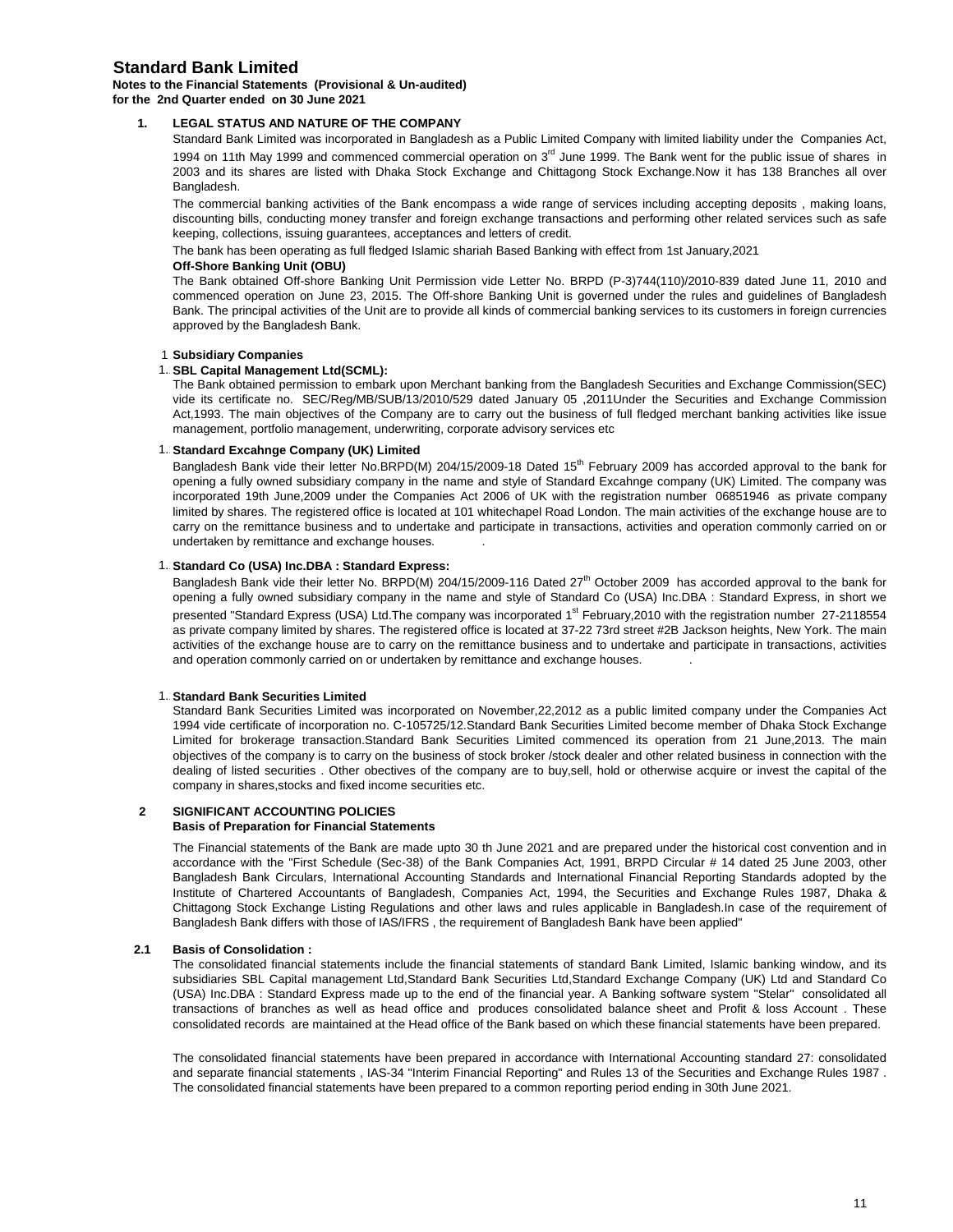### **Standard Bank Limited**

#### **Notes to the Financial Statements (Provisional & Un-audited) for the 2nd Quarter ended on 30 June 2021**

#### **1. LEGAL STATUS AND NATURE OF THE COMPANY**

Standard Bank Limited was incorporated in Bangladesh as a Public Limited Company with limited liability under the Companies Act, 1994 on 11th May 1999 and commenced commercial operation on 3<sup>rd</sup> June 1999. The Bank went for the public issue of shares in 2003 and its shares are listed with Dhaka Stock Exchange and Chittagong Stock Exchange.Now it has 138 Branches all over Bangladesh.

The commercial banking activities of the Bank encompass a wide range of services including accepting deposits , making loans, discounting bills, conducting money transfer and foreign exchange transactions and performing other related services such as safe keeping, collections, issuing guarantees, acceptances and letters of credit.

The bank has been operating as full fledged Islamic shariah Based Banking with effect from 1st January,2021

### **Off-Shore Banking Unit (OBU)**

The Bank obtained Off-shore Banking Unit Permission vide Letter No. BRPD (P-3)744(110)/2010-839 dated June 11, 2010 and commenced operation on June 23, 2015. The Off-shore Banking Unit is governed under the rules and guidelines of Bangladesh Bank. The principal activities of the Unit are to provide all kinds of commercial banking services to its customers in foreign currencies approved by the Bangladesh Bank.

#### 1 **Subsidiary Companies**

#### 1. **SBL Capital Management Ltd(SCML):**

The Bank obtained permission to embark upon Merchant banking from the Bangladesh Securities and Exchange Commission(SEC) vide its certificate no. SEC/Reg/MB/SUB/13/2010/529 dated January 05 ,2011Under the Securities and Exchange Commission Act,1993. The main objectives of the Company are to carry out the business of full fledged merchant banking activities like issue management, portfolio management, underwriting, corporate advisory services etc

#### 1. Standard Excahnge Company (UK) Limited

Bangladesh Bank vide their letter No.BRPD(M) 204/15/2009-18 Dated 15<sup>th</sup> February 2009 has accorded approval to the bank for opening a fully owned subsidiary company in the name and style of Standard Excahnge company (UK) Limited. The company was incorporated 19th June,2009 under the Companies Act 2006 of UK with the registration number 06851946 as private company limited by shares. The registered office is located at 101 whitechapel Road London. The main activities of the exchange house are to carry on the remittance business and to undertake and participate in transactions, activities and operation commonly carried on or undertaken by remittance and exchange houses. .

#### 1. Standard Co (USA) Inc.DBA : Standard Express:

Bangladesh Bank vide their letter No. BRPD(M) 204/15/2009-116 Dated 27<sup>th</sup> October 2009 has accorded approval to the bank for opening a fully owned subsidiary company in the name and style of Standard Co (USA) Inc.DBA : Standard Express, in short we presented "Standard Express (USA) Ltd.The company was incorporated 1<sup>st</sup> February,2010 with the registration number 27-2118554 as private company limited by shares. The registered office is located at 37-22 73rd street #2B Jackson heights, New York. The main activities of the exchange house are to carry on the remittance business and to undertake and participate in transactions, activities and operation commonly carried on or undertaken by remittance and exchange houses. .

#### **1. Standard Bank Securities Limited**

Standard Bank Securities Limited was incorporated on November,22,2012 as a public limited company under the Companies Act 1994 vide certificate of incorporation no. C-105725/12.Standard Bank Securities Limited become member of Dhaka Stock Exchange Limited for brokerage transaction.Standard Bank Securities Limited commenced its operation from 21 June,2013. The main objectives of the company is to carry on the business of stock broker /stock dealer and other related business in connection with the dealing of listed securities . Other obectives of the company are to buy,sell, hold or otherwise acquire or invest the capital of the company in shares,stocks and fixed income securities etc.

### **2 SIGNIFICANT ACCOUNTING POLICIES**

### **Basis of Preparation for Financial Statements**

The Financial statements of the Bank are made upto 30 th June 2021 and are prepared under the historical cost convention and in accordance with the "First Schedule (Sec-38) of the Bank Companies Act, 1991, BRPD Circular # 14 dated 25 June 2003, other Bangladesh Bank Circulars, International Accounting Standards and International Financial Reporting Standards adopted by the Institute of Chartered Accountants of Bangladesh, Companies Act, 1994, the Securities and Exchange Rules 1987, Dhaka & Chittagong Stock Exchange Listing Regulations and other laws and rules applicable in Bangladesh.In case of the requirement of Bangladesh Bank differs with those of IAS/IFRS , the requirement of Bangladesh Bank have been applied"

#### **2.1 Basis of Consolidation :**

The consolidated financial statements include the financial statements of standard Bank Limited, Islamic banking window, and its subsidiaries SBL Capital management Ltd,Standard Bank Securities Ltd,Standard Exchange Company (UK) Ltd and Standard Co (USA) Inc.DBA : Standard Express made up to the end of the financial year. A Banking software system "Stelar" consolidated all transactions of branches as well as head office and produces consolidated balance sheet and Profit & loss Account . These consolidated records are maintained at the Head office of the Bank based on which these financial statements have been prepared.

The consolidated financial statements have been prepared in accordance with International Accounting standard 27: consolidated and separate financial statements , IAS-34 "Interim Financial Reporting" and Rules 13 of the Securities and Exchange Rules 1987 . The consolidated financial statements have been prepared to a common reporting period ending in 30th June 2021.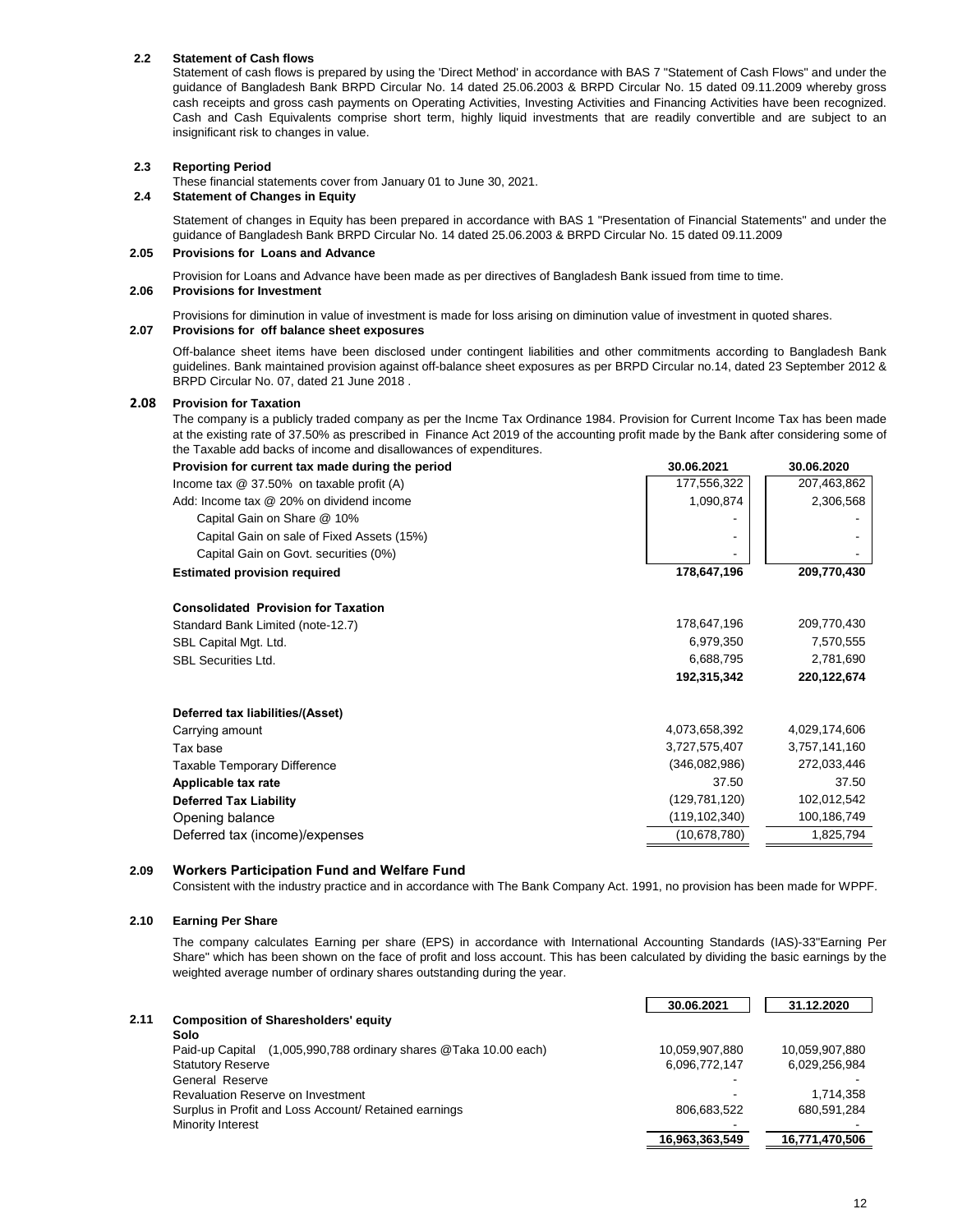### **2.2 Statement of Cash flows**

Statement of cash flows is prepared by using the 'Direct Method' in accordance with BAS 7 "Statement of Cash Flows" and under the guidance of Bangladesh Bank BRPD Circular No. 14 dated 25.06.2003 & BRPD Circular No. 15 dated 09.11.2009 whereby gross cash receipts and gross cash payments on Operating Activities, Investing Activities and Financing Activities have been recognized. Cash and Cash Equivalents comprise short term, highly liquid investments that are readily convertible and are subject to an insignificant risk to changes in value.

#### **2.3 Reporting Period**

These financial statements cover from January 01 to June 30, 2021.

#### **2.4 Statement of Changes in Equity**

Statement of changes in Equity has been prepared in accordance with BAS 1 "Presentation of Financial Statements" and under the guidance of Bangladesh Bank BRPD Circular No. 14 dated 25.06.2003 & BRPD Circular No. 15 dated 09.11.2009

#### **2.05 Provisions for Loans and Advance**

Provision for Loans and Advance have been made as per directives of Bangladesh Bank issued from time to time.

#### **2.06 Provisions for Investment**

Provisions for diminution in value of investment is made for loss arising on diminution value of investment in quoted shares.

#### **2.07 Provisions for off balance sheet exposures**

Off-balance sheet items have been disclosed under contingent liabilities and other commitments according to Bangladesh Bank guidelines. Bank maintained provision against off-balance sheet exposures as per BRPD Circular no.14, dated 23 September 2012 & BRPD Circular No. 07, dated 21 June 2018 .

#### **2.08 Provision for Taxation**

The company is a publicly traded company as per the Incme Tax Ordinance 1984. Provision for Current Income Tax has been made at the existing rate of 37.50% as prescribed in Finance Act 2019 of the accounting profit made by the Bank after considering some of the Taxable add backs of income and disallowances of expenditures.

| 177,556,322<br>207,463,862<br>Income tax @ 37.50% on taxable profit (A)<br>1,090,874<br>2,306,568<br>Add: Income tax @ 20% on dividend income<br>Capital Gain on Share @ 10%<br>Capital Gain on sale of Fixed Assets (15%)<br>Capital Gain on Govt. securities (0%)<br>178,647,196<br>209,770,430<br><b>Estimated provision required</b><br><b>Consolidated Provision for Taxation</b><br>178,647,196<br>209,770,430<br>Standard Bank Limited (note-12.7)<br>7,570,555<br>6,979,350<br>SBL Capital Mgt. Ltd.<br>6,688,795<br>2,781,690<br><b>SBL Securities Ltd.</b><br>192,315,342<br>220,122,674<br>Deferred tax liabilities/(Asset)<br>4,073,658,392<br>4,029,174,606<br>Carrying amount<br>3,727,575,407<br>3,757,141,160<br>Tax base<br>(346,082,986)<br>272,033,446<br><b>Taxable Temporary Difference</b><br>37.50<br>37.50<br>Applicable tax rate<br>(129, 781, 120)<br>102,012,542<br><b>Deferred Tax Liability</b><br>100,186,749<br>(119,102,340)<br>Opening balance<br>(10,678,780)<br>1,825,794<br>Deferred tax (income)/expenses | Provision for current tax made during the period | 30.06.2021 | 30.06.2020 |
|------------------------------------------------------------------------------------------------------------------------------------------------------------------------------------------------------------------------------------------------------------------------------------------------------------------------------------------------------------------------------------------------------------------------------------------------------------------------------------------------------------------------------------------------------------------------------------------------------------------------------------------------------------------------------------------------------------------------------------------------------------------------------------------------------------------------------------------------------------------------------------------------------------------------------------------------------------------------------------------------------------------------------------------------|--------------------------------------------------|------------|------------|
|                                                                                                                                                                                                                                                                                                                                                                                                                                                                                                                                                                                                                                                                                                                                                                                                                                                                                                                                                                                                                                                |                                                  |            |            |
|                                                                                                                                                                                                                                                                                                                                                                                                                                                                                                                                                                                                                                                                                                                                                                                                                                                                                                                                                                                                                                                |                                                  |            |            |
|                                                                                                                                                                                                                                                                                                                                                                                                                                                                                                                                                                                                                                                                                                                                                                                                                                                                                                                                                                                                                                                |                                                  |            |            |
|                                                                                                                                                                                                                                                                                                                                                                                                                                                                                                                                                                                                                                                                                                                                                                                                                                                                                                                                                                                                                                                |                                                  |            |            |
|                                                                                                                                                                                                                                                                                                                                                                                                                                                                                                                                                                                                                                                                                                                                                                                                                                                                                                                                                                                                                                                |                                                  |            |            |
|                                                                                                                                                                                                                                                                                                                                                                                                                                                                                                                                                                                                                                                                                                                                                                                                                                                                                                                                                                                                                                                |                                                  |            |            |
|                                                                                                                                                                                                                                                                                                                                                                                                                                                                                                                                                                                                                                                                                                                                                                                                                                                                                                                                                                                                                                                |                                                  |            |            |
|                                                                                                                                                                                                                                                                                                                                                                                                                                                                                                                                                                                                                                                                                                                                                                                                                                                                                                                                                                                                                                                |                                                  |            |            |
|                                                                                                                                                                                                                                                                                                                                                                                                                                                                                                                                                                                                                                                                                                                                                                                                                                                                                                                                                                                                                                                |                                                  |            |            |
|                                                                                                                                                                                                                                                                                                                                                                                                                                                                                                                                                                                                                                                                                                                                                                                                                                                                                                                                                                                                                                                |                                                  |            |            |
|                                                                                                                                                                                                                                                                                                                                                                                                                                                                                                                                                                                                                                                                                                                                                                                                                                                                                                                                                                                                                                                |                                                  |            |            |
|                                                                                                                                                                                                                                                                                                                                                                                                                                                                                                                                                                                                                                                                                                                                                                                                                                                                                                                                                                                                                                                |                                                  |            |            |
|                                                                                                                                                                                                                                                                                                                                                                                                                                                                                                                                                                                                                                                                                                                                                                                                                                                                                                                                                                                                                                                |                                                  |            |            |
|                                                                                                                                                                                                                                                                                                                                                                                                                                                                                                                                                                                                                                                                                                                                                                                                                                                                                                                                                                                                                                                |                                                  |            |            |
|                                                                                                                                                                                                                                                                                                                                                                                                                                                                                                                                                                                                                                                                                                                                                                                                                                                                                                                                                                                                                                                |                                                  |            |            |
|                                                                                                                                                                                                                                                                                                                                                                                                                                                                                                                                                                                                                                                                                                                                                                                                                                                                                                                                                                                                                                                |                                                  |            |            |
|                                                                                                                                                                                                                                                                                                                                                                                                                                                                                                                                                                                                                                                                                                                                                                                                                                                                                                                                                                                                                                                |                                                  |            |            |
|                                                                                                                                                                                                                                                                                                                                                                                                                                                                                                                                                                                                                                                                                                                                                                                                                                                                                                                                                                                                                                                |                                                  |            |            |
|                                                                                                                                                                                                                                                                                                                                                                                                                                                                                                                                                                                                                                                                                                                                                                                                                                                                                                                                                                                                                                                |                                                  |            |            |

### **2.09 Workers Participation Fund and Welfare Fund**

Consistent with the industry practice and in accordance with The Bank Company Act. 1991, no provision has been made for WPPF.

#### **2.10 Earning Per Share**

The company calculates Earning per share (EPS) in accordance with International Accounting Standards (IAS)-33"Earning Per Share" which has been shown on the face of profit and loss account. This has been calculated by dividing the basic earnings by the weighted average number of ordinary shares outstanding during the year.

|      |                                                                     | 30.06.2021     | 31.12.2020     |
|------|---------------------------------------------------------------------|----------------|----------------|
| 2.11 | <b>Composition of Sharesholders' equity</b>                         |                |                |
|      | Solo                                                                |                |                |
|      | (1,005,990,788 ordinary shares @Taka 10.00 each)<br>Paid-up Capital | 10,059,907,880 | 10.059.907.880 |
|      | <b>Statutory Reserve</b>                                            | 6,096,772,147  | 6,029,256,984  |
|      | General Reserve                                                     |                |                |
|      | Revaluation Reserve on Investment                                   |                | 1.714.358      |
|      | Surplus in Profit and Loss Account/ Retained earnings               | 806.683.522    | 680.591.284    |
|      | Minority Interest                                                   |                |                |
|      |                                                                     | 16,963,363,549 | 16,771,470,506 |